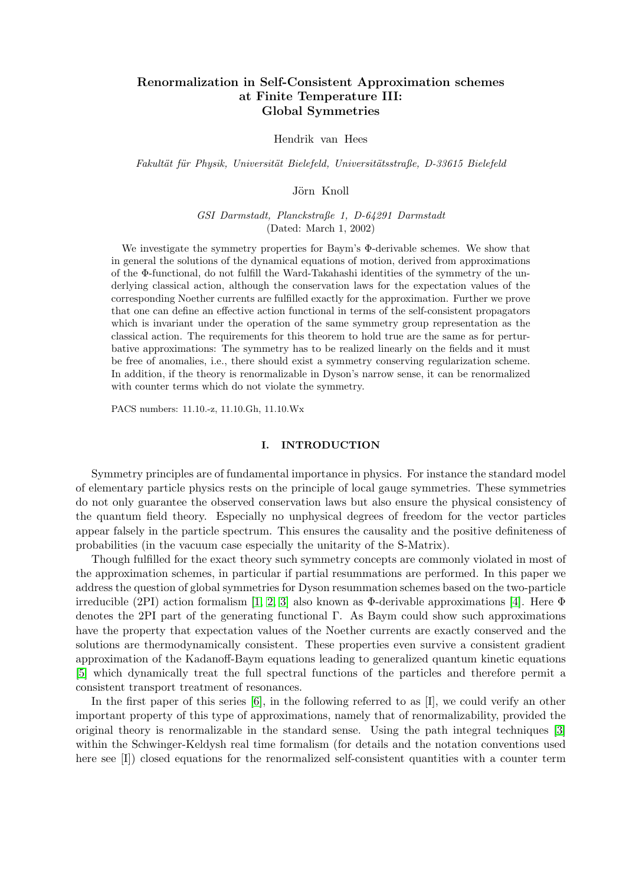# Renormalization in Self-Consistent Approximation schemes at Finite Temperature III: Global Symmetries

#### Hendrik van Hees

Fakultät für Physik, Universität Bielefeld, Universitätsstraße, D-33615 Bielefeld

#### Jörn Knoll

GSI Darmstadt, Planckstraße 1, D-64291 Darmstadt (Dated: March 1, 2002)

We investigate the symmetry properties for Baym's Φ-derivable schemes. We show that in general the solutions of the dynamical equations of motion, derived from approximations of the Φ-functional, do not fulfill the Ward-Takahashi identities of the symmetry of the underlying classical action, although the conservation laws for the expectation values of the corresponding Noether currents are fulfilled exactly for the approximation. Further we prove that one can define an effective action functional in terms of the self-consistent propagators which is invariant under the operation of the same symmetry group representation as the classical action. The requirements for this theorem to hold true are the same as for perturbative approximations: The symmetry has to be realized linearly on the fields and it must be free of anomalies, i.e., there should exist a symmetry conserving regularization scheme. In addition, if the theory is renormalizable in Dyson's narrow sense, it can be renormalized with counter terms which do not violate the symmetry.

PACS numbers: 11.10.-z, 11.10.Gh, 11.10.Wx

# I. INTRODUCTION

Symmetry principles are of fundamental importance in physics. For instance the standard model of elementary particle physics rests on the principle of local gauge symmetries. These symmetries do not only guarantee the observed conservation laws but also ensure the physical consistency of the quantum field theory. Especially no unphysical degrees of freedom for the vector particles appear falsely in the particle spectrum. This ensures the causality and the positive definiteness of probabilities (in the vacuum case especially the unitarity of the S-Matrix).

Though fulfilled for the exact theory such symmetry concepts are commonly violated in most of the approximation schemes, in particular if partial resummations are performed. In this paper we address the question of global symmetries for Dyson resummation schemes based on the two-particle irreducible (2PI) action formalism [\[1,](#page-30-0) [2,](#page-30-1) [3\]](#page-30-2) also known as Φ-derivable approximations [\[4\]](#page-31-0). Here Φ denotes the 2PI part of the generating functional Γ. As Baym could show such approximations have the property that expectation values of the Noether currents are exactly conserved and the solutions are thermodynamically consistent. These properties even survive a consistent gradient approximation of the Kadanoff-Baym equations leading to generalized quantum kinetic equations [\[5\]](#page-31-1) which dynamically treat the full spectral functions of the particles and therefore permit a consistent transport treatment of resonances.

In the first paper of this series [\[6\]](#page-31-2), in the following referred to as [I], we could verify an other important property of this type of approximations, namely that of renormalizability, provided the original theory is renormalizable in the standard sense. Using the path integral techniques [\[3\]](#page-30-2) within the Schwinger-Keldysh real time formalism (for details and the notation conventions used here see [I]) closed equations for the renormalized self-consistent quantities with a counter term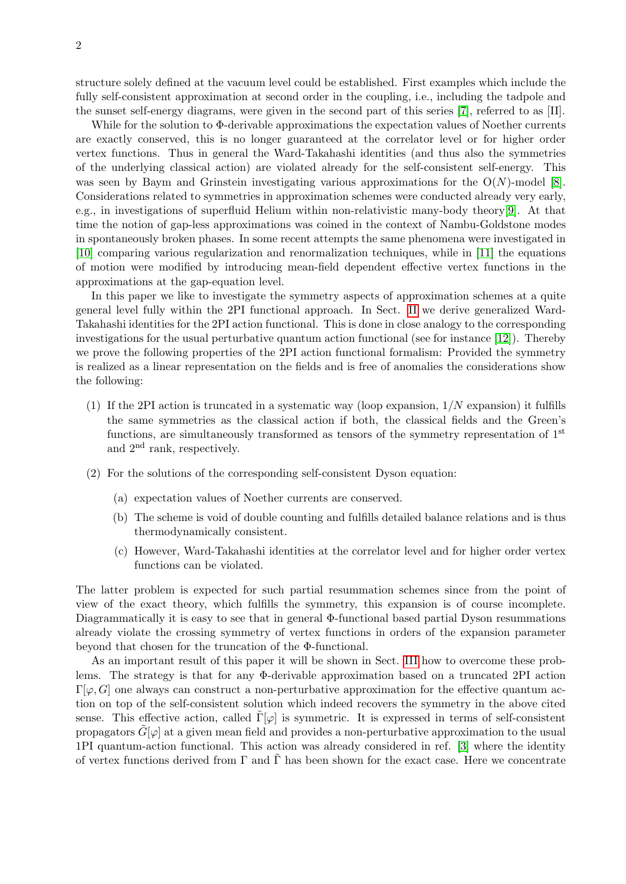structure solely defined at the vacuum level could be established. First examples which include the fully self-consistent approximation at second order in the coupling, i.e., including the tadpole and the sunset self-energy diagrams, were given in the second part of this series [\[7\]](#page-31-3), referred to as [II].

While for the solution to Φ-derivable approximations the expectation values of Noether currents are exactly conserved, this is no longer guaranteed at the correlator level or for higher order vertex functions. Thus in general the Ward-Takahashi identities (and thus also the symmetries of the underlying classical action) are violated already for the self-consistent self-energy. This was seen by Baym and Grinstein investigating various approximations for the  $O(N)$ -model [\[8\]](#page-31-4). Considerations related to symmetries in approximation schemes were conducted already very early, e.g., in investigations of superfluid Helium within non-relativistic many-body theory[\[9\]](#page-31-5). At that time the notion of gap-less approximations was coined in the context of Nambu-Goldstone modes in spontaneously broken phases. In some recent attempts the same phenomena were investigated in [\[10\]](#page-31-6) comparing various regularization and renormalization techniques, while in [\[11\]](#page-31-7) the equations of motion were modified by introducing mean-field dependent effective vertex functions in the approximations at the gap-equation level.

In this paper we like to investigate the symmetry aspects of approximation schemes at a quite general level fully within the 2PI functional approach. In Sect. [II](#page-2-0) we derive generalized Ward-Takahashi identities for the 2PI action functional. This is done in close analogy to the corresponding investigations for the usual perturbative quantum action functional (see for instance [\[12\]](#page-31-8)). Thereby we prove the following properties of the 2PI action functional formalism: Provided the symmetry is realized as a linear representation on the fields and is free of anomalies the considerations show the following:

- (1) If the 2PI action is truncated in a systematic way (loop expansion,  $1/N$  expansion) it fulfills the same symmetries as the classical action if both, the classical fields and the Green's functions, are simultaneously transformed as tensors of the symmetry representation of 1<sup>st</sup> and 2nd rank, respectively.
- (2) For the solutions of the corresponding self-consistent Dyson equation:
	- (a) expectation values of Noether currents are conserved.
	- (b) The scheme is void of double counting and fulfills detailed balance relations and is thus thermodynamically consistent.
	- (c) However, Ward-Takahashi identities at the correlator level and for higher order vertex functions can be violated.

The latter problem is expected for such partial resummation schemes since from the point of view of the exact theory, which fulfills the symmetry, this expansion is of course incomplete. Diagrammatically it is easy to see that in general Φ-functional based partial Dyson resummations already violate the crossing symmetry of vertex functions in orders of the expansion parameter beyond that chosen for the truncation of the Φ-functional.

As an important result of this paper it will be shown in Sect. [III](#page-5-0) how to overcome these problems. The strategy is that for any Φ-derivable approximation based on a truncated 2PI action  $\Gamma[\varphi, G]$  one always can construct a non-perturbative approximation for the effective quantum action on top of the self-consistent solution which indeed recovers the symmetry in the above cited sense. This effective action, called  $\Gamma[\varphi]$  is symmetric. It is expressed in terms of self-consistent propagators  $G[\varphi]$  at a given mean field and provides a non-perturbative approximation to the usual 1PI quantum-action functional. This action was already considered in ref. [\[3\]](#page-30-2) where the identity of vertex functions derived from  $\Gamma$  and  $\Gamma$  has been shown for the exact case. Here we concentrate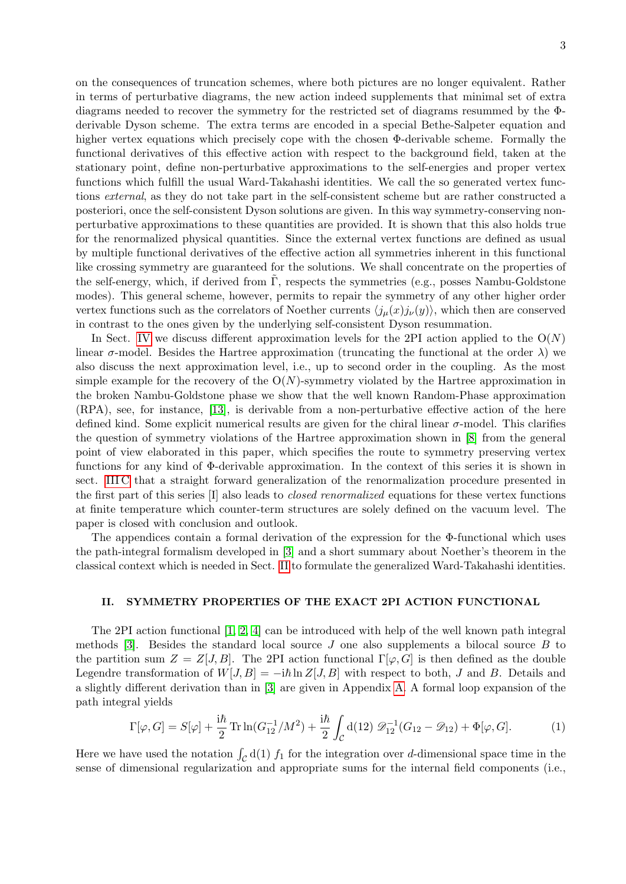on the consequences of truncation schemes, where both pictures are no longer equivalent. Rather in terms of perturbative diagrams, the new action indeed supplements that minimal set of extra diagrams needed to recover the symmetry for the restricted set of diagrams resummed by the Φderivable Dyson scheme. The extra terms are encoded in a special Bethe-Salpeter equation and higher vertex equations which precisely cope with the chosen Φ-derivable scheme. Formally the functional derivatives of this effective action with respect to the background field, taken at the stationary point, define non-perturbative approximations to the self-energies and proper vertex functions which fulfill the usual Ward-Takahashi identities. We call the so generated vertex functions external, as they do not take part in the self-consistent scheme but are rather constructed a posteriori, once the self-consistent Dyson solutions are given. In this way symmetry-conserving nonperturbative approximations to these quantities are provided. It is shown that this also holds true for the renormalized physical quantities. Since the external vertex functions are defined as usual by multiple functional derivatives of the effective action all symmetries inherent in this functional like crossing symmetry are guaranteed for the solutions. We shall concentrate on the properties of the self-energy, which, if derived from  $\Gamma$ , respects the symmetries (e.g., posses Nambu-Goldstone modes). This general scheme, however, permits to repair the symmetry of any other higher order vertex functions such as the correlators of Noether currents  $\langle j_\mu(x) j_\nu(y) \rangle$ , which then are conserved in contrast to the ones given by the underlying self-consistent Dyson resummation.

In Sect. [IV](#page-12-0) we discuss different approximation levels for the 2PI action applied to the  $O(N)$ linear  $\sigma$ -model. Besides the Hartree approximation (truncating the functional at the order  $\lambda$ ) we also discuss the next approximation level, i.e., up to second order in the coupling. As the most simple example for the recovery of the  $O(N)$ -symmetry violated by the Hartree approximation in the broken Nambu-Goldstone phase we show that the well known Random-Phase approximation (RPA), see, for instance, [\[13\]](#page-31-9), is derivable from a non-perturbative effective action of the here defined kind. Some explicit numerical results are given for the chiral linear σ-model. This clarifies the question of symmetry violations of the Hartree approximation shown in [\[8\]](#page-31-4) from the general point of view elaborated in this paper, which specifies the route to symmetry preserving vertex functions for any kind of Φ-derivable approximation. In the context of this series it is shown in sect. [III C](#page-9-0) that a straight forward generalization of the renormalization procedure presented in the first part of this series [I] also leads to closed renormalized equations for these vertex functions at finite temperature which counter-term structures are solely defined on the vacuum level. The paper is closed with conclusion and outlook.

The appendices contain a formal derivation of the expression for the Φ-functional which uses the path-integral formalism developed in [\[3\]](#page-30-2) and a short summary about Noether's theorem in the classical context which is needed in Sect. [II](#page-2-0) to formulate the generalized Ward-Takahashi identities.

# <span id="page-2-0"></span>II. SYMMETRY PROPERTIES OF THE EXACT 2PI ACTION FUNCTIONAL

The 2PI action functional [\[1,](#page-30-0) [2,](#page-30-1) [4\]](#page-31-0) can be introduced with help of the well known path integral methods [\[3\]](#page-30-2). Besides the standard local source  $J$  one also supplements a bilocal source  $B$  to the partition sum  $Z = Z[J, B]$ . The 2PI action functional  $\Gamma[\varphi, G]$  is then defined as the double Legendre transformation of  $W[J, B] = -i\hbar \ln Z[J, B]$  with respect to both, J and B. Details and a slightly different derivation than in [\[3\]](#page-30-2) are given in Appendix [A.](#page-24-0) A formal loop expansion of the path integral yields

<span id="page-2-1"></span>
$$
\Gamma[\varphi, G] = S[\varphi] + \frac{i\hbar}{2} \operatorname{Tr} \ln(G_{12}^{-1}/M^2) + \frac{i\hbar}{2} \int_C d(12) \mathcal{D}_{12}^{-1}(G_{12} - \mathcal{D}_{12}) + \Phi[\varphi, G]. \tag{1}
$$

Here we have used the notation  $\int_{\mathcal{C}} d(1) f_1$  for the integration over d-dimensional space time in the sense of dimensional regularization and appropriate sums for the internal field components (i.e.,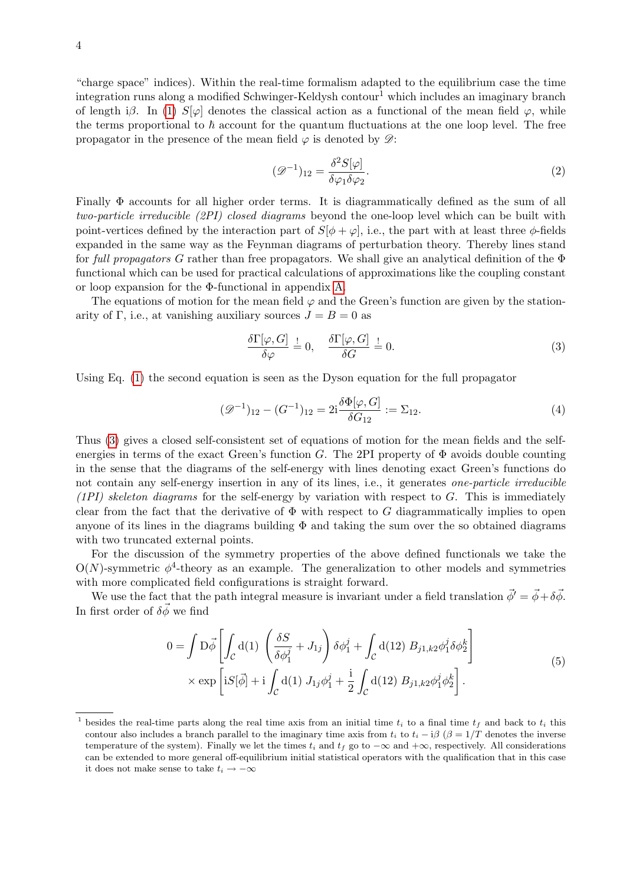"charge space" indices). Within the real-time formalism adapted to the equilibrium case the time integration runs along a modified Schwinger-Keldysh contour<sup>1</sup> which includes an imaginary branch of length iβ. In [\(1\)](#page-2-1)  $S[\varphi]$  denotes the classical action as a functional of the mean field  $\varphi$ , while the terms proportional to  $\hbar$  account for the quantum fluctuations at the one loop level. The free propagator in the presence of the mean field  $\varphi$  is denoted by  $\mathscr{D}$ :

$$
(\mathcal{D}^{-1})_{12} = \frac{\delta^2 S[\varphi]}{\delta \varphi_1 \delta \varphi_2}.
$$
\n(2)

Finally Φ accounts for all higher order terms. It is diagrammatically defined as the sum of all two-particle irreducible (2PI) closed diagrams beyond the one-loop level which can be built with point-vertices defined by the interaction part of  $S[\phi + \varphi]$ , i.e., the part with at least three  $\phi$ -fields expanded in the same way as the Feynman diagrams of perturbation theory. Thereby lines stand for full propagators G rather than free propagators. We shall give an analytical definition of the  $\Phi$ functional which can be used for practical calculations of approximations like the coupling constant or loop expansion for the Φ-functional in appendix [A.](#page-24-0)

The equations of motion for the mean field  $\varphi$  and the Green's function are given by the stationarity of Γ, i.e., at vanishing auxiliary sources  $J = B = 0$  as

<span id="page-3-1"></span><span id="page-3-0"></span>
$$
\frac{\delta\Gamma[\varphi, G]}{\delta\varphi} \stackrel{!}{=} 0, \quad \frac{\delta\Gamma[\varphi, G]}{\delta G} \stackrel{!}{=} 0.
$$
\n(3)

Using Eq. [\(1\)](#page-2-1) the second equation is seen as the Dyson equation for the full propagator

$$
(\mathcal{D}^{-1})_{12} - (G^{-1})_{12} = 2i \frac{\delta \Phi[\varphi, G]}{\delta G_{12}} := \Sigma_{12}.
$$
\n(4)

Thus [\(3\)](#page-3-0) gives a closed self-consistent set of equations of motion for the mean fields and the selfenergies in terms of the exact Green's function G. The 2PI property of  $\Phi$  avoids double counting in the sense that the diagrams of the self-energy with lines denoting exact Green's functions do not contain any self-energy insertion in any of its lines, i.e., it generates one-particle irreducible  $(1PI)$  skeleton diagrams for the self-energy by variation with respect to G. This is immediately clear from the fact that the derivative of  $\Phi$  with respect to G diagrammatically implies to open anyone of its lines in the diagrams building  $\Phi$  and taking the sum over the so obtained diagrams with two truncated external points.

For the discussion of the symmetry properties of the above defined functionals we take the  $O(N)$ -symmetric  $\phi^4$ -theory as an example. The generalization to other models and symmetries with more complicated field configurations is straight forward.

We use the fact that the path integral measure is invariant under a field translation  $\vec{\phi}' = \vec{\phi} + \delta \vec{\phi}$ . In first order of  $\delta \vec{\phi}$  we find

$$
0 = \int D\vec{\phi} \left[ \int_{\mathcal{C}} d(1) \left( \frac{\delta S}{\delta \phi_1^j} + J_{1j} \right) \delta \phi_1^j + \int_{\mathcal{C}} d(12) B_{j1,k2} \phi_1^j \delta \phi_2^k \right] \times \exp \left[ iS[\vec{\phi}] + i \int_{\mathcal{C}} d(1) J_{1j} \phi_1^j + \frac{i}{2} \int_{\mathcal{C}} d(12) B_{j1,k2} \phi_1^j \phi_2^k \right].
$$
 (5)

<sup>&</sup>lt;sup>1</sup> besides the real-time parts along the real time axis from an initial time  $t_i$  to a final time  $t_f$  and back to  $t_i$  this contour also includes a branch parallel to the imaginary time axis from  $t_i$  to  $t_i - i\beta$  ( $\beta = 1/T$  denotes the inverse temperature of the system). Finally we let the times  $t_i$  and  $t_f$  go to  $-\infty$  and  $+\infty$ , respectively. All considerations can be extended to more general off-equilibrium initial statistical operators with the qualification that in this case it does not make sense to take  $t_i \rightarrow -\infty$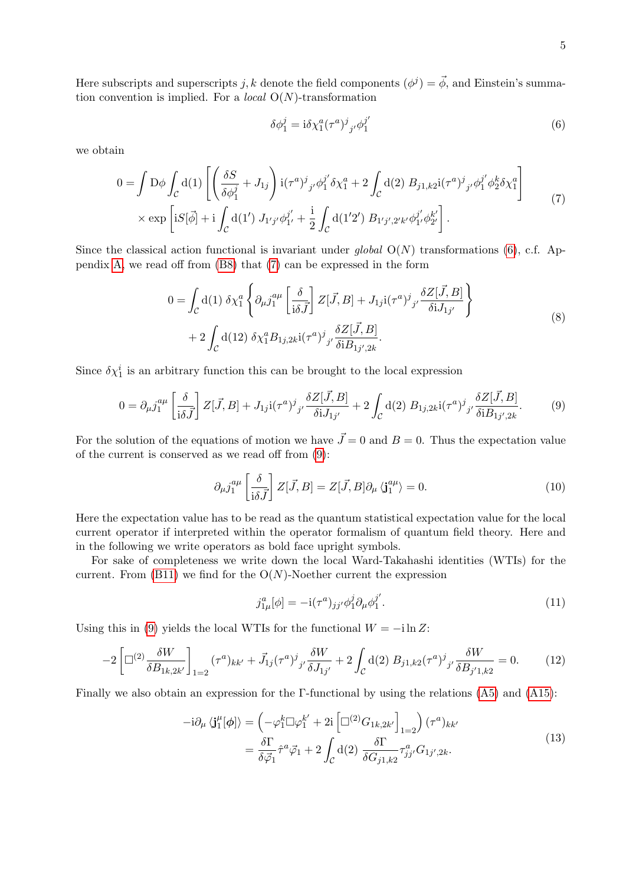Here subscripts and superscripts j, k denote the field components  $(\phi^j) = \vec{\phi}$ , and Einstein's summation convention is implied. For a *local*  $O(N)$ -transformation

<span id="page-4-3"></span><span id="page-4-0"></span>
$$
\delta\phi_1^j = \mathrm{i}\delta\chi_1^a(\tau^a)^j_{\phantom{j}j'}\phi_1^{j'}\tag{6}
$$

we obtain

<span id="page-4-1"></span>
$$
0 = \int D\phi \int_C d(1) \left[ \left( \frac{\delta S}{\delta \phi_1^j} + J_{1j} \right) i(\tau^a)^j{}_j \phi_1^{j'} \delta \chi_1^a + 2 \int_C d(2) B_{j1,k2} i(\tau^a)^j{}_j \phi_1^{j'} \phi_2^k \delta \chi_1^a \right] \times \exp \left[ iS[\vec{\phi}] + i \int_C d(1') J_{1'j'} \phi_1^{j'} + \frac{i}{2} \int_C d(1'2') B_{1'j',2'k'} \phi_1^{j'} \phi_2^{k'} \right]. \tag{7}
$$

Since the classical action functional is invariant under global  $O(N)$  transformations [\(6\)](#page-4-0), c.f. Appendix [A,](#page-24-0) we read off from [\(B8\)](#page-28-0) that [\(7\)](#page-4-1) can be expressed in the form

$$
0 = \int_{\mathcal{C}} d(1) \, \delta \chi_1^a \left\{ \partial_{\mu} j_1^{a\mu} \left[ \frac{\delta}{i \delta \vec{J}} \right] Z[\vec{J}, B] + J_{1j} i (\tau^a)^j_{\,j'} \frac{\delta Z[\vec{J}, B]}{\delta i J_{1j'}} \right\} + 2 \int_{\mathcal{C}} d(12) \, \delta \chi_1^a B_{1j, 2k} i (\tau^a)^j_{\,j'} \frac{\delta Z[\vec{J}, B]}{\delta i B_{1j', 2k}}.
$$
 (8)

Since  $\delta \chi_1^i$  is an arbitrary function this can be brought to the local expression

$$
0 = \partial_{\mu} j_{1}^{a\mu} \left[ \frac{\delta}{i\delta \vec{J}} \right] Z[\vec{J}, B] + J_{1j} i(\tau^{a})^{j}{}_{j'} \frac{\delta Z[\vec{J}, B]}{\delta i J_{1j'}} + 2 \int_{\mathcal{C}} d(2) B_{1j, 2k} i(\tau^{a})^{j}{}_{j'} \frac{\delta Z[\vec{J}, B]}{\delta i B_{1j', 2k}}. \tag{9}
$$

For the solution of the equations of motion we have  $\vec{J}=0$  and  $B=0$ . Thus the expectation value of the current is conserved as we read off from [\(9\)](#page-4-2):

<span id="page-4-2"></span>
$$
\partial_{\mu}j_{1}^{a\mu} \left[\frac{\delta}{i\delta\vec{J}}\right] Z[\vec{J},B] = Z[\vec{J},B] \partial_{\mu} \langle \mathbf{j}_{1}^{a\mu} \rangle = 0. \tag{10}
$$

Here the expectation value has to be read as the quantum statistical expectation value for the local current operator if interpreted within the operator formalism of quantum field theory. Here and in the following we write operators as bold face upright symbols.

For sake of completeness we write down the local Ward-Takahashi identities (WTIs) for the current. From  $(B11)$  we find for the  $O(N)$ -Noether current the expression

<span id="page-4-5"></span><span id="page-4-4"></span>
$$
j_{1\mu}^a[\phi] = -i(\tau^a)_{jj'}\phi_1^j \partial_\mu \phi_1^{j'}.
$$
\n(11)

Using this in [\(9\)](#page-4-2) yields the local WTIs for the functional  $W = -i \ln Z$ :

$$
-2\left[\Box^{(2)}\frac{\delta W}{\delta B_{1k,2k'}}\right]_{1=2}(\tau^a)_{kk'} + \vec{J}_{1j}(\tau^a)^j_{j'}\frac{\delta W}{\delta J_{1j'}} + 2\int_{\mathcal{C}}d(2) B_{j1,k2}(\tau^a)^j_{j'}\frac{\delta W}{\delta B_{j'1,k2}} = 0.
$$
 (12)

Finally we also obtain an expression for the Γ-functional by using the relations [\(A5\)](#page-25-0) and [\(A15\)](#page-27-0):

$$
-i\partial_{\mu} \langle \mathbf{j}_{1}^{\mu}[\phi] \rangle = \left( -\varphi_{1}^{k} \Box \varphi_{1}^{k'} + 2i \left[ \Box^{(2)} G_{1k,2k'} \right]_{1=2} \right) (\tau^{a})_{kk'}
$$

$$
= \frac{\delta \Gamma}{\delta \overline{\varphi}_{1}} \hat{\tau}^{a} \overline{\varphi}_{1} + 2 \int_{\mathcal{C}} d(2) \frac{\delta \Gamma}{\delta G_{j1,k2}} \tau_{jj'}^{a} G_{1j',2k}. \tag{13}
$$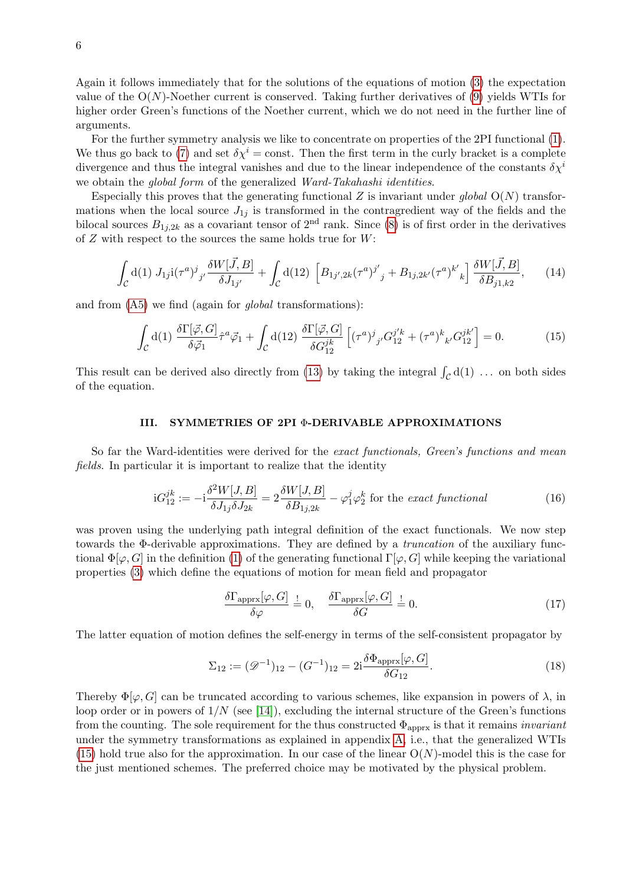Again it follows immediately that for the solutions of the equations of motion [\(3\)](#page-3-0) the expectation value of the  $O(N)$ -Noether current is conserved. Taking further derivatives of [\(9\)](#page-4-2) yields WTIs for higher order Green's functions of the Noether current, which we do not need in the further line of arguments.

For the further symmetry analysis we like to concentrate on properties of the 2PI functional [\(1\)](#page-2-1). We thus go back to [\(7\)](#page-4-1) and set  $\delta \chi^i = \text{const.}$  Then the first term in the curly bracket is a complete divergence and thus the integral vanishes and due to the linear independence of the constants  $\delta \chi^i$ we obtain the *global form* of the generalized *Ward-Takahashi identities*.

Especially this proves that the generating functional Z is invariant under global  $O(N)$  transformations when the local source  $J_{1j}$  is transformed in the contragredient way of the fields and the bilocal sources  $B_{1i,2k}$  as a covariant tensor of  $2<sup>nd</sup>$  rank. Since [\(8\)](#page-4-3) is of first order in the derivatives of  $Z$  with respect to the sources the same holds true for  $W$ :

$$
\int_{\mathcal{C}} d(1) J_{1j} i(\tau^a)^j_{j'} \frac{\delta W[\vec{J}, B]}{\delta J_{1j'}} + \int_{\mathcal{C}} d(12) \left[ B_{1j',2k}(\tau^a)^{j'}_{j} + B_{1j,2k'}(\tau^a)^{k'}_{k} \right] \frac{\delta W[\vec{J}, B]}{\delta B_{j1,k2}}, \quad (14)
$$

and from  $(A5)$  we find (again for *global* transformations):

<span id="page-5-1"></span>
$$
\int_{\mathcal{C}} d(1) \frac{\delta \Gamma[\vec{\varphi}, G]}{\delta \vec{\varphi}_1} \hat{\tau}^a \vec{\varphi}_1 + \int_{\mathcal{C}} d(12) \frac{\delta \Gamma[\vec{\varphi}, G]}{\delta G_{12}^{jk}} \left[ (\tau^a)^j{}_{j'} G_{12}^{j'k} + (\tau^a)^k{}_{k'} G_{12}^{jk'} \right] = 0. \tag{15}
$$

This result can be derived also directly from [\(13\)](#page-4-4) by taking the integral  $\int_{\mathcal{C}} d(1) \dots$  on both sides of the equation.

# <span id="page-5-0"></span>III. SYMMETRIES OF 2PI Φ-DERIVABLE APPROXIMATIONS

So far the Ward-identities were derived for the exact functionals, Green's functions and mean fields. In particular it is important to realize that the identity

$$
iG_{12}^{jk} := -i\frac{\delta^2 W[J, B]}{\delta J_{1j}\delta J_{2k}} = 2\frac{\delta W[J, B]}{\delta B_{1j, 2k}} - \varphi_1^j \varphi_2^k
$$
 for the *exact functional* (16)

was proven using the underlying path integral definition of the exact functionals. We now step towards the Φ-derivable approximations. They are defined by a truncation of the auxiliary functional  $\Phi[\varphi, G]$  in the definition [\(1\)](#page-2-1) of the generating functional  $\Gamma[\varphi, G]$  while keeping the variational properties [\(3\)](#page-3-0) which define the equations of motion for mean field and propagator

<span id="page-5-3"></span><span id="page-5-2"></span>
$$
\frac{\delta \Gamma_{\text{approx}}[\varphi, G]}{\delta \varphi} \stackrel{!}{=} 0, \quad \frac{\delta \Gamma_{\text{approx}}[\varphi, G]}{\delta G} \stackrel{!}{=} 0. \tag{17}
$$

The latter equation of motion defines the self-energy in terms of the self-consistent propagator by

$$
\Sigma_{12} := (\mathcal{D}^{-1})_{12} - (G^{-1})_{12} = 2i \frac{\delta \Phi_{\text{approx}}[\varphi, G]}{\delta G_{12}}.
$$
\n(18)

Thereby  $\Phi[\varphi, G]$  can be truncated according to various schemes, like expansion in powers of  $\lambda$ , in loop order or in powers of  $1/N$  (see [\[14\]](#page-31-10)), excluding the internal structure of the Green's functions from the counting. The sole requirement for the thus constructed  $\Phi_{\text{approx}}$  is that it remains *invariant* under the symmetry transformations as explained in appendix [A,](#page-24-0) i.e., that the generalized WTIs  $(15)$  hold true also for the approximation. In our case of the linear  $O(N)$ -model this is the case for the just mentioned schemes. The preferred choice may be motivated by the physical problem.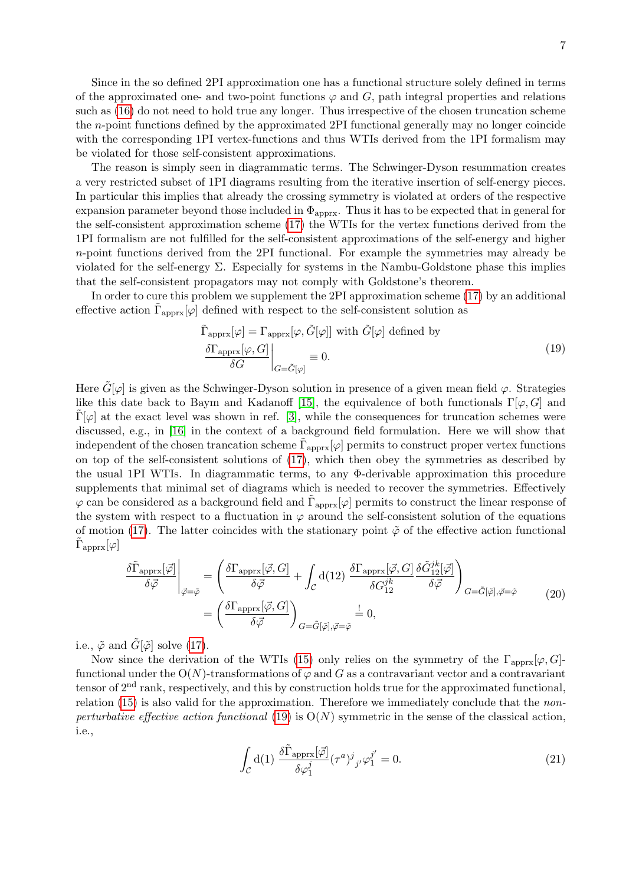Since in the so defined 2PI approximation one has a functional structure solely defined in terms of the approximated one- and two-point functions  $\varphi$  and  $G$ , path integral properties and relations such as [\(16\)](#page-5-2) do not need to hold true any longer. Thus irrespective of the chosen truncation scheme the n-point functions defined by the approximated 2PI functional generally may no longer coincide with the corresponding 1PI vertex-functions and thus WTIs derived from the 1PI formalism may be violated for those self-consistent approximations.

The reason is simply seen in diagrammatic terms. The Schwinger-Dyson resummation creates a very restricted subset of 1PI diagrams resulting from the iterative insertion of self-energy pieces. In particular this implies that already the crossing symmetry is violated at orders of the respective expansion parameter beyond those included in  $\Phi_{\text{approx}}$ . Thus it has to be expected that in general for the self-consistent approximation scheme [\(17\)](#page-5-3) the WTIs for the vertex functions derived from the 1PI formalism are not fulfilled for the self-consistent approximations of the self-energy and higher n-point functions derived from the 2PI functional. For example the symmetries may already be violated for the self-energy  $\Sigma$ . Especially for systems in the Nambu-Goldstone phase this implies that the self-consistent propagators may not comply with Goldstone's theorem.

In order to cure this problem we supplement the 2PI approximation scheme [\(17\)](#page-5-3) by an additional effective action  $\tilde{\Gamma}_{\text{approx}}[\varphi]$  defined with respect to the self-consistent solution as

<span id="page-6-0"></span>
$$
\tilde{\Gamma}_{\text{approx}}[\varphi] = \Gamma_{\text{approx}}[\varphi, \tilde{G}[\varphi]] \text{ with } \tilde{G}[\varphi] \text{ defined by}
$$
\n
$$
\frac{\delta \Gamma_{\text{approx}}[\varphi, G]}{\delta G} \bigg|_{G = \tilde{G}[\varphi]} \equiv 0.
$$
\n(19)

Here  $\tilde{G}[\varphi]$  is given as the Schwinger-Dyson solution in presence of a given mean field  $\varphi$ . Strategies like this date back to Baym and Kadanoff [\[15\]](#page-31-11), the equivalence of both functionals  $\Gamma[\varphi, G]$  and  $\Gamma[\varphi]$  at the exact level was shown in ref. [\[3\]](#page-30-2), while the consequences for truncation schemes were discussed, e.g., in [\[16\]](#page-31-12) in the context of a background field formulation. Here we will show that independent of the chosen trancation scheme  $\tilde{\Gamma}_{\text{approx}}[\varphi]$  permits to construct proper vertex functions on top of the self-consistent solutions of [\(17\)](#page-5-3), which then obey the symmetries as described by the usual 1PI WTIs. In diagrammatic terms, to any Φ-derivable approximation this procedure supplements that minimal set of diagrams which is needed to recover the symmetries. Effectively  $\varphi$  can be considered as a background field and  $\tilde{\Gamma}_{\text{approx}}[\varphi]$  permits to construct the linear response of the system with respect to a fluctuation in  $\varphi$  around the self-consistent solution of the equations of motion [\(17\)](#page-5-3). The latter coincides with the stationary point  $\tilde{\varphi}$  of the effective action functional  $\tilde{\Gamma}_\text{approx}[\varphi]$ 

<span id="page-6-2"></span>
$$
\frac{\delta \tilde{\Gamma}_{\text{approx}}[\vec{\varphi}]}{\delta \vec{\varphi}} \Big|_{\vec{\varphi} = \tilde{\varphi}} = \left( \frac{\delta \Gamma_{\text{approx}}[\vec{\varphi}, G]}{\delta \vec{\varphi}} + \int_{\mathcal{C}} d(12) \frac{\delta \Gamma_{\text{approx}}[\vec{\varphi}, G]}{\delta G_{12}^{jk}} \frac{\delta \tilde{G}_{12}^{jk}[\vec{\varphi}]}{\delta \vec{\varphi}} \right)_{G = \tilde{G}[\vec{\varphi}], \vec{\varphi} = \tilde{\varphi}} \tag{20}
$$
\n
$$
= \left( \frac{\delta \Gamma_{\text{approx}}[\vec{\varphi}, G]}{\delta \vec{\varphi}} \right)_{G = \tilde{G}[\vec{\varphi}], \vec{\varphi} = \tilde{\varphi}} \stackrel{!}{=} 0,
$$

i.e.,  $\tilde{\varphi}$  and  $\tilde{G}[\tilde{\varphi}]$  solve [\(17\)](#page-5-3).

<span id="page-6-1"></span>Now since the derivation of the WTIs [\(15\)](#page-5-1) only relies on the symmetry of the  $\Gamma_{\text{approx}}[\varphi, G]$ functional under the  $O(N)$ -transformations of  $\varphi$  and G as a contravariant vector and a contravariant tensor of 2nd rank, respectively, and this by construction holds true for the approximated functional, relation  $(15)$  is also valid for the approximation. Therefore we immediately conclude that the non-perturbative effective action functional [\(19\)](#page-6-0) is  $O(N)$  symmetric in the sense of the classical action, i.e.,

$$
\int_{\mathcal{C}} d(1) \frac{\delta \tilde{\Gamma}_{\text{approx}}[\vec{\varphi}]}{\delta \varphi_1^j} (\tau^a)^j_{j'} \varphi_1^{j'} = 0. \tag{21}
$$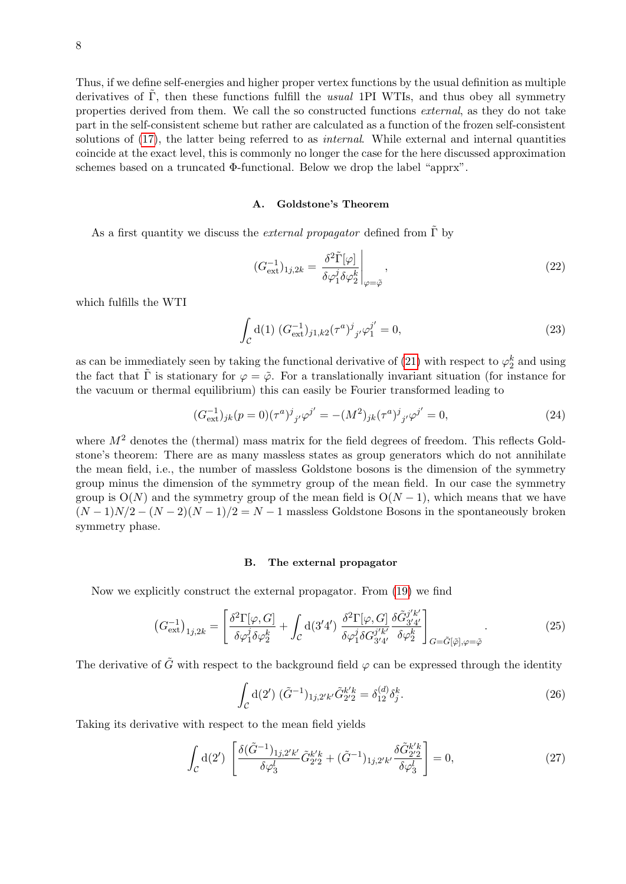Thus, if we define self-energies and higher proper vertex functions by the usual definition as multiple derivatives of  $\Gamma$ , then these functions fulfill the *usual* 1PI WTIs, and thus obey all symmetry properties derived from them. We call the so constructed functions external, as they do not take part in the self-consistent scheme but rather are calculated as a function of the frozen self-consistent solutions of [\(17\)](#page-5-3), the latter being referred to as *internal*. While external and internal quantities coincide at the exact level, this is commonly no longer the case for the here discussed approximation schemes based on a truncated Φ-functional. Below we drop the label "apprx".

### A. Goldstone's Theorem

As a first quantity we discuss the *external propagator* defined from  $\Gamma$  by

$$
(G_{\text{ext}}^{-1})_{1j,2k} = \left. \frac{\delta^2 \tilde{\Gamma}[\varphi]}{\delta \varphi_1^j \delta \varphi_2^k} \right|_{\varphi = \tilde{\varphi}},\tag{22}
$$

which fulfills the WTI

$$
\int_{\mathcal{C}} d(1) \left( G_{\text{ext}}^{-1} \right)_{j1,k2} (\tau^a)^j_{j'} \varphi_1^{j'} = 0, \tag{23}
$$

as can be immediately seen by taking the functional derivative of [\(21\)](#page-6-1) with respect to  $\varphi_2^k$  and using the fact that  $\tilde{\Gamma}$  is stationary for  $\varphi = \tilde{\varphi}$ . For a translationally invariant situation (for instance for the vacuum or thermal equilibrium) this can easily be Fourier transformed leading to

$$
(G_{\text{ext}}^{-1})_{jk}(p=0)(\tau^a)^j_{j'}\varphi^{j'} = -(M^2)_{jk}(\tau^a)^j_{j'}\varphi^{j'} = 0,
$$
\n(24)

where  $M<sup>2</sup>$  denotes the (thermal) mass matrix for the field degrees of freedom. This reflects Goldstone's theorem: There are as many massless states as group generators which do not annihilate the mean field, i.e., the number of massless Goldstone bosons is the dimension of the symmetry group minus the dimension of the symmetry group of the mean field. In our case the symmetry group is  $O(N)$  and the symmetry group of the mean field is  $O(N-1)$ , which means that we have  $(N-1)N/2 - (N-2)(N-1)/2 = N-1$  massless Goldstone Bosons in the spontaneously broken symmetry phase.

#### <span id="page-7-0"></span>B. The external propagator

Now we explicitly construct the external propagator. From [\(19\)](#page-6-0) we find

$$
\left(G_{\text{ext}}^{-1}\right)_{1j,2k} = \left[\frac{\delta^2 \Gamma[\varphi, G]}{\delta \varphi_1^j \delta \varphi_2^k} + \int_{\mathcal{C}} d(3'4') \frac{\delta^2 \Gamma[\varphi, G]}{\delta \varphi_1^j \delta G_{3'4'}^{j'k'}} \frac{\delta \tilde{G}_{3'4'}^{j'k'}}{\delta \varphi_2^k}\right]_{G = \tilde{G}[\tilde{\varphi}], \varphi = \tilde{\varphi}}.\tag{25}
$$

The derivative of  $\tilde{G}$  with respect to the background field  $\varphi$  can be expressed through the identity

$$
\int_{\mathcal{C}} d(2') \ (\tilde{G}^{-1})_{1j,2'k'} \tilde{G}_{2'2}^{k'k} = \delta_{12}^{(d)} \delta_j^k.
$$
\n(26)

Taking its derivative with respect to the mean field yields

$$
\int_{\mathcal{C}} d(2') \left[ \frac{\delta(\tilde{G}^{-1})_{1j,2'k'}}{\delta \varphi_3^l} \tilde{G}_{2'2}^{k'k} + (\tilde{G}^{-1})_{1j,2'k'} \frac{\delta \tilde{G}_{2'2}^{k'k}}{\delta \varphi_3^l} \right] = 0, \tag{27}
$$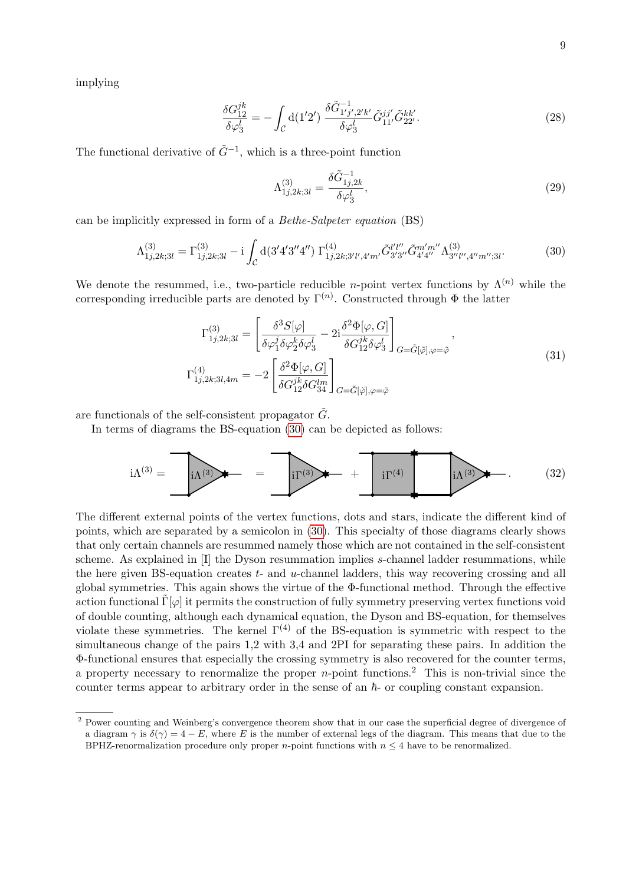implying

$$
\frac{\delta G_{12}^{jk}}{\delta \varphi_3^l} = -\int_{\mathcal{C}} d(1'2') \frac{\delta \tilde{G}_{1'j',2'k'}^{-1}}{\delta \varphi_3^l} \tilde{G}_{11'}^{jj'} \tilde{G}_{22'}^{kk'}.
$$
\n(28)

The functional derivative of  $\tilde{G}^{-1}$ , which is a three-point function

<span id="page-8-1"></span><span id="page-8-0"></span>
$$
\Lambda_{1j,2k;3l}^{(3)} = \frac{\delta \tilde{G}_{1j,2k}^{-1}}{\delta \varphi_3^l},\tag{29}
$$

can be implicitly expressed in form of a Bethe-Salpeter equation (BS)

$$
\Lambda_{1j,2k;3l}^{(3)} = \Gamma_{1j,2k;3l}^{(3)} - i \int_{\mathcal{C}} d(3'4'3''4'') \Gamma_{1j,2k;3'l',4'm'}^{(4)} \tilde{G}_{3'3''}^{l'l''} \tilde{G}_{4'4''}^{m''} \Lambda_{3''l'',4''m'';3l}^{(3)}.
$$
 (30)

We denote the resummed, i.e., two-particle reducible *n*-point vertex functions by  $\Lambda^{(n)}$  while the corresponding irreducible parts are denoted by  $\Gamma^{(n)}$ . Constructed through  $\Phi$  the latter

<span id="page-8-2"></span>
$$
\Gamma_{1j,2k;3l}^{(3)} = \left[ \frac{\delta^3 S[\varphi]}{\delta \varphi_1^j \delta \varphi_2^k \delta \varphi_3^l} - 2i \frac{\delta^2 \Phi[\varphi, G]}{\delta G_{12}^{jk} \delta \varphi_3^l} \right]_{G = \tilde{G}[\tilde{\varphi}], \varphi = \tilde{\varphi}},
$$
\n
$$
\Gamma_{1j,2k;3l,4m}^{(4)} = -2 \left[ \frac{\delta^2 \Phi[\varphi, G]}{\delta G_{12}^{jk} \delta G_{34}^{lm}} \right]_{G = \tilde{G}[\tilde{\varphi}], \varphi = \tilde{\varphi}}
$$
\n(31)

are functionals of the self-consistent propagator  $\tilde{G}$ .

In terms of diagrams the BS-equation [\(30\)](#page-8-0) can be depicted as follows:

$$
i\Lambda^{(3)} = \bullet \qquad \qquad \overbrace{i\Lambda^{(3)}} \bullet \qquad \qquad \overbrace{ii\Gamma^{(3)}} \bullet \qquad \qquad + \bullet \qquad \qquad \overbrace{i\Gamma^{(4)}} \bullet \qquad \qquad \overbrace{i\Lambda^{(3)}} \bullet \qquad \qquad (32)
$$

The different external points of the vertex functions, dots and stars, indicate the different kind of points, which are separated by a semicolon in [\(30\)](#page-8-0). This specialty of those diagrams clearly shows that only certain channels are resummed namely those which are not contained in the self-consistent scheme. As explained in [I] the Dyson resummation implies s-channel ladder resummations, while the here given BS-equation creates  $t$ - and  $u$ -channel ladders, this way recovering crossing and all global symmetries. This again shows the virtue of the Φ-functional method. Through the effective action functional  $\tilde{\Gamma}[\varphi]$  it permits the construction of fully symmetry preserving vertex functions void of double counting, although each dynamical equation, the Dyson and BS-equation, for themselves violate these symmetries. The kernel  $\Gamma^{(4)}$  of the BS-equation is symmetric with respect to the simultaneous change of the pairs 1,2 with 3,4 and 2PI for separating these pairs. In addition the Φ-functional ensures that especially the crossing symmetry is also recovered for the counter terms, a property necessary to renormalize the proper *n*-point functions.<sup>2</sup> This is non-trivial since the counter terms appear to arbitrary order in the sense of an  $h$ - or coupling constant expansion.

<sup>&</sup>lt;sup>2</sup> Power counting and Weinberg's convergence theorem show that in our case the superficial degree of divergence of a diagram  $\gamma$  is  $\delta(\gamma) = 4 - E$ , where E is the number of external legs of the diagram. This means that due to the BPHZ-renormalization procedure only proper *n*-point functions with  $n \leq 4$  have to be renormalized.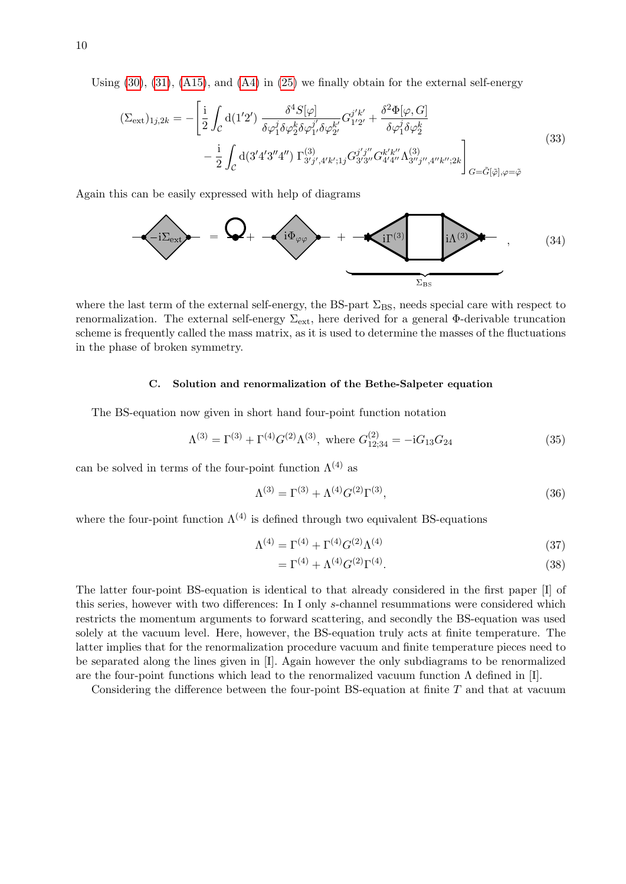Using  $(30)$ ,  $(31)$ ,  $(A15)$ , and  $(A4)$  in  $(25)$  we finally obtain for the external self-energy

<span id="page-9-2"></span>
$$
(\Sigma_{\text{ext}})_{1j,2k} = -\left[\frac{\mathrm{i}}{2} \int_{\mathcal{C}} d(1'2') \frac{\delta^4 S[\varphi]}{\delta \varphi_1^j \delta \varphi_2^k \delta \varphi_1^{j'} \delta \varphi_2^{k'}} G_{1'2'}^{j'k'} + \frac{\delta^2 \Phi[\varphi, G]}{\delta \varphi_1^j \delta \varphi_2^k} -\frac{\mathrm{i}}{2} \int_{\mathcal{C}} d(3'4'3''4'') \Gamma_{3'j',4'k';1j}^{(3)} G_{3'3''}^{j''} G_{4'4''}^{k'k''} \Lambda_{3''j'',4''k'';2k}^{(3)}\right]_{G = \tilde{G}[\tilde{\varphi}], \varphi = \tilde{\varphi}}
$$
\n(33)

Again this can be easily expressed with help of diagrams

<span id="page-9-1"></span>

where the last term of the external self-energy, the BS-part  $\Sigma_{BS}$ , needs special care with respect to renormalization. The external self-energy  $\Sigma_{ext}$ , here derived for a general Φ-derivable truncation scheme is frequently called the mass matrix, as it is used to determine the masses of the fluctuations in the phase of broken symmetry.

# <span id="page-9-0"></span>C. Solution and renormalization of the Bethe-Salpeter equation

The BS-equation now given in short hand four-point function notation

$$
\Lambda^{(3)} = \Gamma^{(3)} + \Gamma^{(4)}G^{(2)}\Lambda^{(3)}, \text{ where } G_{12;34}^{(2)} = -iG_{13}G_{24}
$$
 (35)

can be solved in terms of the four-point function  $\Lambda^{(4)}$  as

$$
\Lambda^{(3)} = \Gamma^{(3)} + \Lambda^{(4)} G^{(2)} \Gamma^{(3)},\tag{36}
$$

where the four-point function  $\Lambda^{(4)}$  is defined through two equivalent BS-equations

$$
\Lambda^{(4)} = \Gamma^{(4)} + \Gamma^{(4)} G^{(2)} \Lambda^{(4)} \tag{37}
$$

$$
= \Gamma^{(4)} + \Lambda^{(4)} G^{(2)} \Gamma^{(4)}.
$$
\n(38)

The latter four-point BS-equation is identical to that already considered in the first paper [I] of this series, however with two differences: In I only s-channel resummations were considered which restricts the momentum arguments to forward scattering, and secondly the BS-equation was used solely at the vacuum level. Here, however, the BS-equation truly acts at finite temperature. The latter implies that for the renormalization procedure vacuum and finite temperature pieces need to be separated along the lines given in [I]. Again however the only subdiagrams to be renormalized are the four-point functions which lead to the renormalized vacuum function  $\Lambda$  defined in [I].

Considering the difference between the four-point BS-equation at finite  $T$  and that at vacuum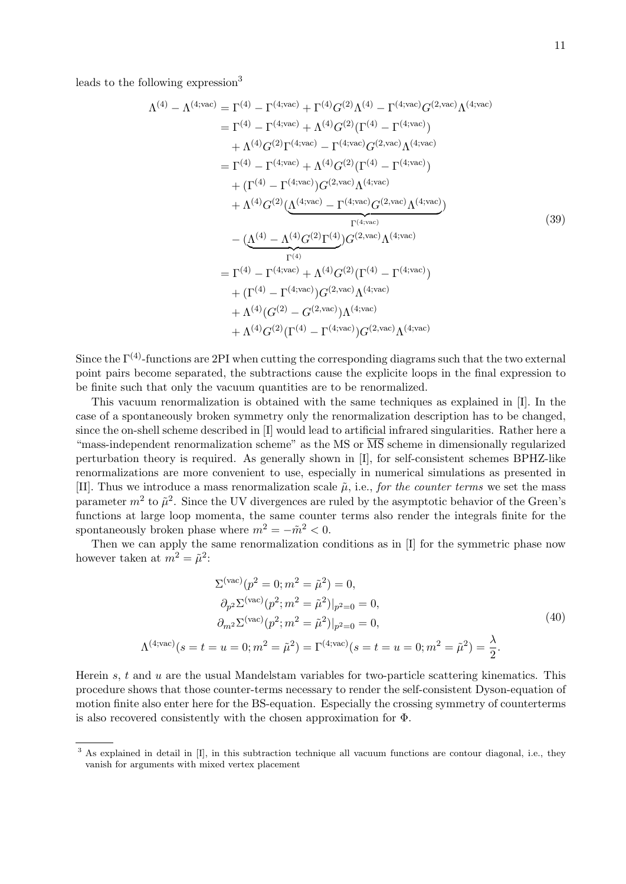leads to the following expression $3$ 

<span id="page-10-0"></span>
$$
\Lambda^{(4)} - \Lambda^{(4;\text{vac})} = \Gamma^{(4)} - \Gamma^{(4;\text{vac})} + \Gamma^{(4)}G^{(2)}\Lambda^{(4)} - \Gamma^{(4;\text{vac})}G^{(2,\text{vac})}\Lambda^{(4;\text{vac})}
$$
\n
$$
= \Gamma^{(4)} - \Gamma^{(4;\text{vac})} + \Lambda^{(4)}G^{(2)}(\Gamma^{(4)} - \Gamma^{(4;\text{vac})})
$$
\n
$$
+ \Lambda^{(4)}G^{(2)}\Gamma^{(4;\text{vac})} - \Gamma^{(4;\text{vac})}G^{(2,\text{vac})}\Lambda^{(4;\text{vac})}
$$
\n
$$
= \Gamma^{(4)} - \Gamma^{(4;\text{vac})} + \Lambda^{(4)}G^{(2)}(\Gamma^{(4)} - \Gamma^{(4;\text{vac})})
$$
\n
$$
+ (\Gamma^{(4)} - \Gamma^{(4;\text{vac})})G^{(2,\text{vac})}\Lambda^{(4;\text{vac})}
$$
\n
$$
+ \Lambda^{(4)}G^{(2)}(\Lambda^{(4;\text{vac})} - \Gamma^{(4;\text{vac})}G^{(2,\text{vac})}\Lambda^{(4;\text{vac})})
$$
\n
$$
= (\Lambda^{(4)} - \Lambda^{(4)}G^{(2)}\Gamma^{(4)})G^{(2,\text{vac})}\Lambda^{(4;\text{vac})}
$$
\n
$$
= \Gamma^{(4)} - \Gamma^{(4;\text{vac})} + \Lambda^{(4)}G^{(2)}(\Gamma^{(4)} - \Gamma^{(4;\text{vac})})
$$
\n
$$
+ (\Gamma^{(4)} - \Gamma^{(4;\text{vac})})G^{(2,\text{vac})}\Lambda^{(4;\text{vac})}
$$
\n
$$
+ \Lambda^{(4)}(G^{(2)} - G^{(2,\text{vac})})\Lambda^{(4;\text{vac})}
$$
\n
$$
+ \Lambda^{(4)}G^{(2)}(\Gamma^{(4)} - \Gamma^{(4;\text{vac})})G^{(2,\text{vac})}\Lambda^{(4;\text{vac})}
$$

Since the  $\Gamma^{(4)}$ -functions are 2PI when cutting the corresponding diagrams such that the two external point pairs become separated, the subtractions cause the explicite loops in the final expression to be finite such that only the vacuum quantities are to be renormalized.

This vacuum renormalization is obtained with the same techniques as explained in [I]. In the case of a spontaneously broken symmetry only the renormalization description has to be changed, since the on-shell scheme described in [I] would lead to artificial infrared singularities. Rather here a "mass-independent renormalization scheme" as the MS or MS scheme in dimensionally regularized perturbation theory is required. As generally shown in [I], for self-consistent schemes BPHZ-like renormalizations are more convenient to use, especially in numerical simulations as presented in [II]. Thus we introduce a mass renormalization scale  $\tilde{\mu}$ , i.e., for the counter terms we set the mass parameter  $m^2$  to  $\tilde{\mu}^2$ . Since the UV divergences are ruled by the asymptotic behavior of the Green's functions at large loop momenta, the same counter terms also render the integrals finite for the spontaneously broken phase where  $m^2 = -\tilde{m}^2 < 0$ .

Then we can apply the same renormalization conditions as in [I] for the symmetric phase now however taken at  $m^2 = \tilde{\mu}^2$ :

<span id="page-10-1"></span>
$$
\Sigma^{(\text{vac})}(p^2 = 0; m^2 = \tilde{\mu}^2) = 0,
$$
  
\n
$$
\partial_{p^2} \Sigma^{(\text{vac})}(p^2; m^2 = \tilde{\mu}^2)|_{p^2=0} = 0,
$$
  
\n
$$
\partial_{m^2} \Sigma^{(\text{vac})}(p^2; m^2 = \tilde{\mu}^2)|_{p^2=0} = 0,
$$
  
\n
$$
\Lambda^{(4;\text{vac})}(s = t = u = 0; m^2 = \tilde{\mu}^2) = \Gamma^{(4;\text{vac})}(s = t = u = 0; m^2 = \tilde{\mu}^2) = \frac{\lambda}{2}.
$$
\n(40)

Herein  $s, t$  and  $u$  are the usual Mandelstam variables for two-particle scattering kinematics. This procedure shows that those counter-terms necessary to render the self-consistent Dyson-equation of motion finite also enter here for the BS-equation. Especially the crossing symmetry of counterterms is also recovered consistently with the chosen approximation for Φ.

<sup>&</sup>lt;sup>3</sup> As explained in detail in [I], in this subtraction technique all vacuum functions are contour diagonal, i.e., they vanish for arguments with mixed vertex placement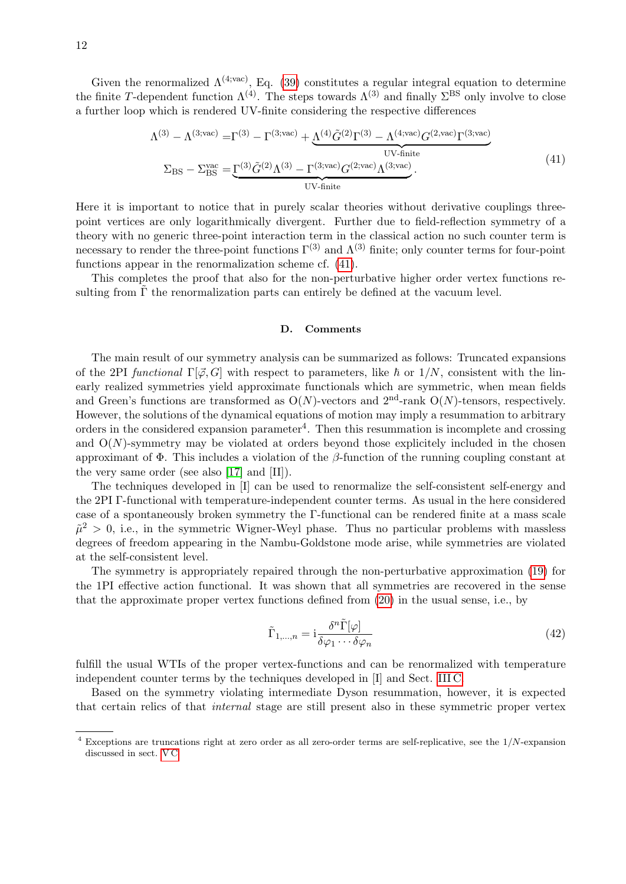Given the renormalized  $\Lambda^{(4,\text{vac})}$ , Eq. [\(39\)](#page-10-0) constitutes a regular integral equation to determine the finite T-dependent function  $\Lambda^{(4)}$ . The steps towards  $\Lambda^{(3)}$  and finally  $\Sigma^{BS}$  only involve to close a further loop which is rendered UV-finite considering the respective differences

$$
\Lambda^{(3)} - \Lambda^{(3;\text{vac})} = \Gamma^{(3)} - \Gamma^{(3;\text{vac})} + \underbrace{\Lambda^{(4)}\tilde{G}^{(2)}\Gamma^{(3)} - \Lambda^{(4;\text{vac})}G^{(2,\text{vac})}\Gamma^{(3;\text{vac})}}_{\text{UV-finite}}
$$
\n
$$
\Sigma_{\text{BS}} - \Sigma_{\text{BS}}^{\text{vac}} = \underbrace{\Gamma^{(3)}\tilde{G}^{(2)}\Lambda^{(3)} - \Gamma^{(3;\text{vac})}G^{(2;\text{vac})}\Lambda^{(3;\text{vac})}}_{\text{UV-finite}}.
$$
\n(41)

Here it is important to notice that in purely scalar theories without derivative couplings threepoint vertices are only logarithmically divergent. Further due to field-reflection symmetry of a theory with no generic three-point interaction term in the classical action no such counter term is necessary to render the three-point functions  $\Gamma^{(3)}$  and  $\Lambda^{(3)}$  finite; only counter terms for four-point functions appear in the renormalization scheme cf. [\(41\)](#page-11-0).

This completes the proof that also for the non-perturbative higher order vertex functions resulting from  $\Gamma$  the renormalization parts can entirely be defined at the vacuum level.

#### <span id="page-11-0"></span>D. Comments

The main result of our symmetry analysis can be summarized as follows: Truncated expansions of the 2PI functional  $\Gamma[\phi, G]$  with respect to parameters, like  $\hbar$  or  $1/N$ , consistent with the linearly realized symmetries yield approximate functionals which are symmetric, when mean fields and Green's functions are transformed as  $O(N)$ -vectors and  $2<sup>nd</sup>$ -rank  $O(N)$ -tensors, respectively. However, the solutions of the dynamical equations of motion may imply a resummation to arbitrary orders in the considered expansion parameter<sup>4</sup>. Then this resummation is incomplete and crossing and  $O(N)$ -symmetry may be violated at orders beyond those explicitely included in the chosen approximant of  $\Phi$ . This includes a violation of the β-function of the running coupling constant at the very same order (see also [\[17\]](#page-31-13) and [II]).

The techniques developed in [I] can be used to renormalize the self-consistent self-energy and the 2PI Γ-functional with temperature-independent counter terms. As usual in the here considered case of a spontaneously broken symmetry the Γ-functional can be rendered finite at a mass scale  $\tilde{\mu}^2 > 0$ , i.e., in the symmetric Wigner-Weyl phase. Thus no particular problems with massless degrees of freedom appearing in the Nambu-Goldstone mode arise, while symmetries are violated at the self-consistent level.

The symmetry is appropriately repaired through the non-perturbative approximation [\(19\)](#page-6-0) for the 1PI effective action functional. It was shown that all symmetries are recovered in the sense that the approximate proper vertex functions defined from [\(20\)](#page-6-2) in the usual sense, i.e., by

$$
\tilde{\Gamma}_{1,\dots,n} = i \frac{\delta^n \tilde{\Gamma}[\varphi]}{\delta \varphi_1 \cdots \delta \varphi_n} \tag{42}
$$

fulfill the usual WTIs of the proper vertex-functions and can be renormalized with temperature independent counter terms by the techniques developed in [I] and Sect. [III C.](#page-9-0)

Based on the symmetry violating intermediate Dyson resummation, however, it is expected that certain relics of that internal stage are still present also in these symmetric proper vertex

 $4$  Exceptions are truncations right at zero order as all zero-order terms are self-replicative, see the  $1/N$ -expansion discussed in sect. [V C](#page-22-0)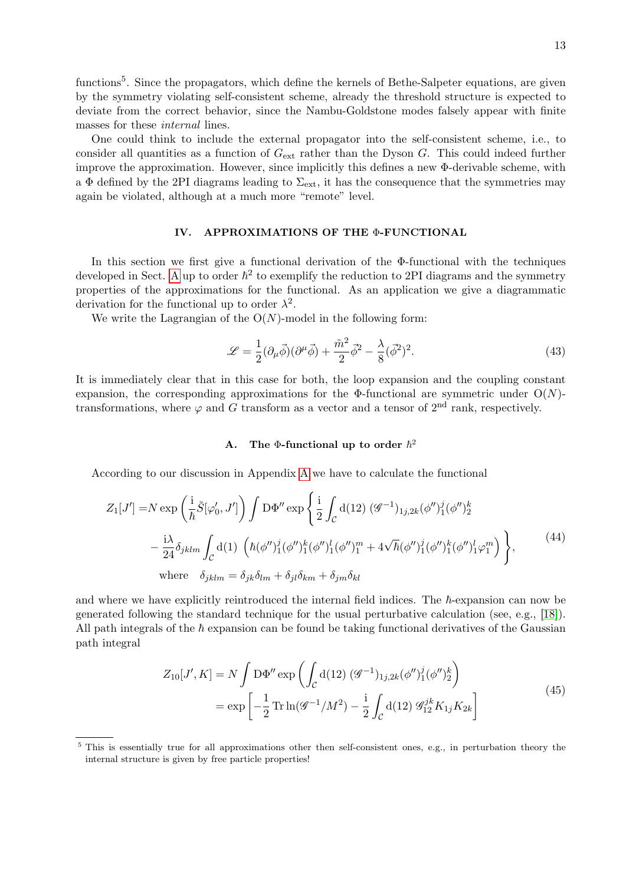functions<sup>5</sup>. Since the propagators, which define the kernels of Bethe-Salpeter equations, are given by the symmetry violating self-consistent scheme, already the threshold structure is expected to deviate from the correct behavior, since the Nambu-Goldstone modes falsely appear with finite masses for these internal lines.

One could think to include the external propagator into the self-consistent scheme, i.e., to consider all quantities as a function of  $G_{\text{ext}}$  rather than the Dyson G. This could indeed further improve the approximation. However, since implicitly this defines a new Φ-derivable scheme, with a  $\Phi$  defined by the 2PI diagrams leading to  $\Sigma_{\rm ext}$ , it has the consequence that the symmetries may again be violated, although at a much more "remote" level.

### <span id="page-12-0"></span>IV. APPROXIMATIONS OF THE Φ-FUNCTIONAL

In this section we first give a functional derivation of the  $\Phi$ -functional with the techniques developed in Sect. [A](#page-24-0) up to order  $\hbar^2$  to exemplify the reduction to 2PI diagrams and the symmetry properties of the approximations for the functional. As an application we give a diagrammatic derivation for the functional up to order  $\lambda^2$ .

We write the Lagrangian of the  $O(N)$ -model in the following form:

$$
\mathcal{L} = \frac{1}{2} (\partial_{\mu} \vec{\phi}) (\partial^{\mu} \vec{\phi}) + \frac{\tilde{m}^2}{2} \vec{\phi}^2 - \frac{\lambda}{8} (\vec{\phi}^2)^2.
$$
 (43)

It is immediately clear that in this case for both, the loop expansion and the coupling constant expansion, the corresponding approximations for the Φ-functional are symmetric under  $O(N)$ transformations, where  $\varphi$  and G transform as a vector and a tensor of  $2<sup>nd</sup>$  rank, respectively.

# A. The  $\Phi$ -functional up to order  $\hbar^2$

According to our discussion in Appendix [A](#page-24-0) we have to calculate the functional

$$
Z_{1}[J'] = N \exp\left(\frac{i}{\hbar}\tilde{S}[\varphi_{0}', J']\right) \int D\Phi'' \exp\left\{\frac{i}{2} \int_{\mathcal{C}} d(12) \, (\mathcal{G}^{-1})_{1j,2k} (\phi'')_{1}^{j} (\phi'')_{2}^{k}\right.-\frac{i\lambda}{24} \delta_{jklm} \int_{\mathcal{C}} d(1) \, \left(\hbar (\phi'')_{1}^{j} (\phi'')_{1}^{k} (\phi'')_{1}^{l} (\phi'')_{1}^{m} + 4\sqrt{\hbar} (\phi'')_{1}^{j} (\phi'')_{1}^{k} (\phi'')_{1}^{l} \varphi_{1}^{m}\right)\right\},
$$
\nwhere  $\delta_{jklm} = \delta_{jk}\delta_{lm} + \delta_{jl}\delta_{km} + \delta_{jm}\delta_{kl}$  (44)

and where we have explicitly reintroduced the internal field indices. The  $\hbar$ -expansion can now be generated following the standard technique for the usual perturbative calculation (see, e.g., [\[18\]](#page-31-14)). All path integrals of the  $\hbar$  expansion can be found be taking functional derivatives of the Gaussian path integral

$$
Z_{10}[J', K] = N \int D\Phi'' \exp\left(\int_C d(12) \, (\mathcal{G}^{-1})_{1j,2k} (\phi'')_1^j (\phi'')_2^k\right)
$$
  
= 
$$
\exp\left[-\frac{1}{2} \operatorname{Tr} \ln(\mathcal{G}^{-1}/M^2) - \frac{i}{2} \int_C d(12) \, \mathcal{G}_{12}^{jk} K_{1j} K_{2k}\right]
$$
(45)

<sup>&</sup>lt;sup>5</sup> This is essentially true for all approximations other then self-consistent ones, e.g., in perturbation theory the internal structure is given by free particle properties!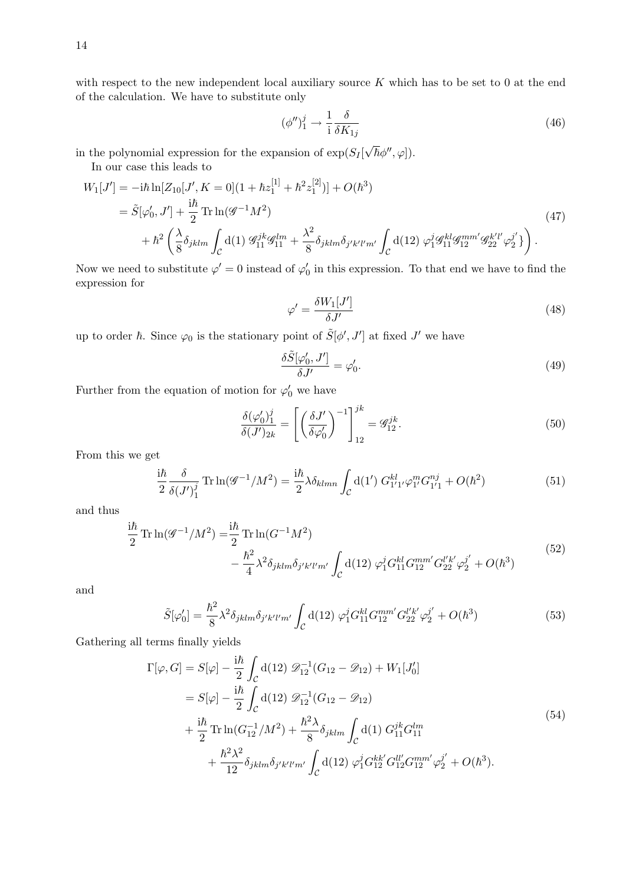with respect to the new independent local auxiliary source  $K$  which has to be set to 0 at the end of the calculation. We have to substitute only

$$
(\phi'')_1^j \to \frac{1}{i} \frac{\delta}{\delta K_{1j}} \tag{46}
$$

in the polynomial expression for the expansion of  $\exp(S_I[$  $(\sqrt{\hbar}\phi'', \varphi]).$ 

In our case this leads to

$$
W_1[J'] = -i\hbar \ln[Z_{10}[J', K = 0](1 + \hbar z_1^{[1]} + \hbar^2 z_1^{[2]})] + O(\hbar^3)
$$
  
=  $\tilde{S}[\varphi'_0, J'] + \frac{i\hbar}{2} \text{Tr} \ln(\mathscr{G}^{-1} M^2)$   
+  $\hbar^2 \left(\frac{\lambda}{8} \delta_{jklm} \int_C d(1) \mathscr{G}_{11}^{jk} \mathscr{G}_{11}^{lm} + \frac{\lambda^2}{8} \delta_{jklm} \delta_{j'k'l'm'} \int_C d(12) \mathscr{G}_1^j \mathscr{G}_{11}^{kl} \mathscr{G}_{12}^{mm'} \mathscr{G}_{22}^{k'l'} \varphi_2^{j'} \} \right).$  (47)

Now we need to substitute  $\varphi' = 0$  instead of  $\varphi'_0$  in this expression. To that end we have to find the expression for

$$
\varphi' = \frac{\delta W_1[J']}{\delta J'}\tag{48}
$$

up to order  $\hbar$ . Since  $\varphi_0$  is the stationary point of  $\tilde{S}[\phi', J']$  at fixed  $J'$  we have

$$
\frac{\delta \tilde{S}[\varphi_0', J']}{\delta J'} = \varphi_0'.\tag{49}
$$

Further from the equation of motion for  $\varphi'_0$  we have

$$
\frac{\delta(\varphi'_0)_1^j}{\delta(J')_{2k}} = \left[ \left( \frac{\delta J'}{\delta \varphi'_0} \right)^{-1} \right]_{12}^{jk} = \mathscr{G}_{12}^{jk}.
$$
\n(50)

From this we get

$$
\frac{i\hbar}{2} \frac{\delta}{\delta(J')_1^j} \text{Tr} \ln(\mathcal{G}^{-1}/M^2) = \frac{i\hbar}{2} \lambda \delta_{klmn} \int_{\mathcal{C}} d(1') \ G_{1'1'}^{kl} \varphi_{1'}^m G_{1'1}^{nj} + O(\hbar^2)
$$
(51)

and thus

$$
\frac{i\hbar}{2} \operatorname{Tr} \ln(\mathcal{G}^{-1}/M^2) = \frac{i\hbar}{2} \operatorname{Tr} \ln(G^{-1}M^2) \n- \frac{\hbar^2}{4} \lambda^2 \delta_{jklm} \delta_{j'k'l'm'} \int_{\mathcal{C}} d(12) \varphi_1^j G_{11}^{kl} G_{12}^{mm'} G_{22}^{l'k'} \varphi_2^{j'} + O(\hbar^3)
$$
\n(52)

and

$$
\tilde{S}[\varphi_0'] = \frac{\hbar^2}{8} \lambda^2 \delta_{jklm} \delta_{j'k'l'm'} \int_{\mathcal{C}} d(12) \, \varphi_1^j G_{11}^{kl} G_{12}^{mm'} G_{22}^{l'k'} \varphi_2^{j'} + O(\hbar^3)
$$
\n(53)

Gathering all terms finally yields

$$
\Gamma[\varphi, G] = S[\varphi] - \frac{i\hbar}{2} \int_C d(12) \mathcal{D}_{12}^{-1} (G_{12} - \mathcal{D}_{12}) + W_1[J'_0] \n= S[\varphi] - \frac{i\hbar}{2} \int_C d(12) \mathcal{D}_{12}^{-1} (G_{12} - \mathcal{D}_{12}) \n+ \frac{i\hbar}{2} \text{Tr} \ln(G_{12}^{-1}/M^2) + \frac{\hbar^2 \lambda}{8} \delta_{jklm} \int_C d(1) G_{11}^{jk} G_{11}^{lm} \n+ \frac{\hbar^2 \lambda^2}{12} \delta_{jklm} \delta_{j'k'l'm'} \int_C d(12) \varphi_1^j G_{12}^{kk'} G_{12}^{ll'} G_{12}^{mm'} \varphi_2^{j'} + O(\hbar^3).
$$
\n(54)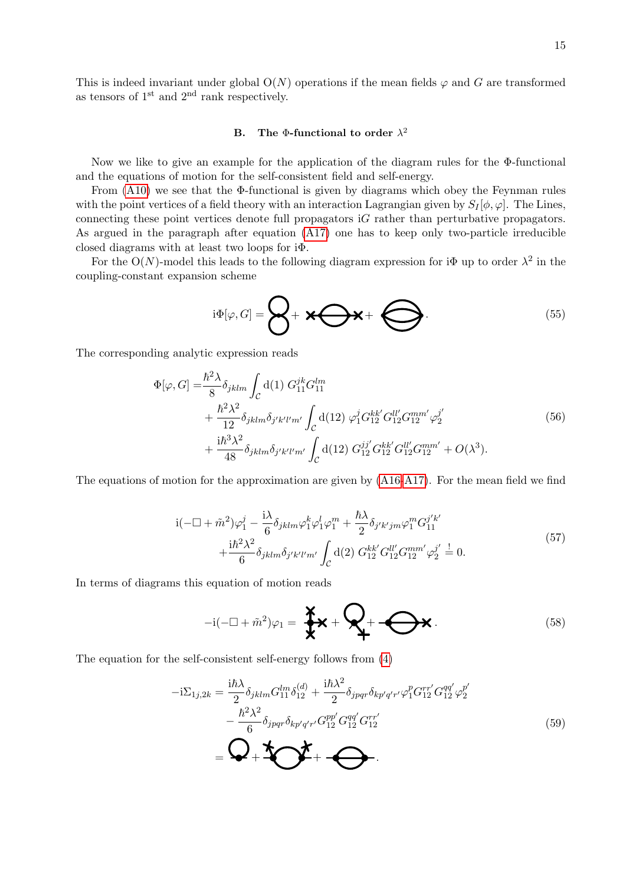This is indeed invariant under global  $O(N)$  operations if the mean fields  $\varphi$  and G are transformed as tensors of  $1<sup>st</sup>$  and  $2<sup>nd</sup>$  rank respectively.

### B. The  $\Phi$ -functional to order  $\lambda^2$

Now we like to give an example for the application of the diagram rules for the Φ-functional and the equations of motion for the self-consistent field and self-energy.

From [\(A10\)](#page-26-0) we see that the Φ-functional is given by diagrams which obey the Feynman rules with the point vertices of a field theory with an interaction Lagrangian given by  $S_I[\phi, \varphi]$ . The Lines, connecting these point vertices denote full propagators iG rather than perturbative propagators. As argued in the paragraph after equation [\(A17\)](#page-27-1) one has to keep only two-particle irreducible closed diagrams with at least two loops for iΦ.

For the O(N)-model this leads to the following diagram expression for  $i\Phi$  up to order  $\lambda^2$  in the coupling-constant expansion scheme

<span id="page-14-0"></span>
$$
i\Phi[\varphi,G] = \bigotimes + \mathbf{X} \bigotimes + \bigotimes.
$$
 (55)

The corresponding analytic expression reads

$$
\Phi[\varphi, G] = \frac{\hbar^2 \lambda}{8} \delta_{jklm} \int_{\mathcal{C}} d(1) G_{11}^{jk} G_{11}^{lm} \n+ \frac{\hbar^2 \lambda^2}{12} \delta_{jklm} \delta_{j'k'l'm'} \int_{\mathcal{C}} d(12) \varphi_1^j G_{12}^{kk'} G_{12}^{ll'} G_{12}^{mm'} \varphi_2^{j'} \n+ \frac{i\hbar^3 \lambda^2}{48} \delta_{jklm} \delta_{j'k'l'm'} \int_{\mathcal{C}} d(12) G_{12}^{jj'} G_{12}^{kk'} G_{12}^{ll'} G_{12}^{mm'} + O(\lambda^3).
$$
\n(56)

The equations of motion for the approximation are given by [\(A16-](#page-27-2)[A17\)](#page-27-1). For the mean field we find

$$
i(-\Box + \tilde{m}^2)\varphi_1^j - \frac{i\lambda}{6}\delta_{jklm}\varphi_1^k\varphi_1^l\varphi_1^m + \frac{\hbar\lambda}{2}\delta_{j'k'jm}\varphi_1^m G_{11}^{j'k'} + \frac{i\hbar^2\lambda^2}{6}\delta_{jklm}\delta_{j'k'l'm'}\int_{\mathcal{C}}d(2)\ G_{12}^{kk'}G_{12}^{ll'}G_{12}^{mm'}\varphi_2^{j'} \stackrel{!}{=} 0.
$$
\n(57)

In terms of diagrams this equation of motion reads

$$
-i(-\Box + \tilde{m}^2)\varphi_1 = \sum_{\mathbf{X}} \mathbf{X} + \sum_{\mathbf{I}} + \sum_{\mathbf{I}} \mathbf{X}.
$$
 (58)

The equation for the self-consistent self-energy follows from [\(4\)](#page-3-1)

$$
-i\Sigma_{1j,2k} = \frac{i\hbar\lambda}{2} \delta_{jklm} G_{11}^{lm} \delta_{12}^{(d)} + \frac{i\hbar\lambda^2}{2} \delta_{jpqr} \delta_{kp'q'r'} \varphi_1^p G_{12}^{rr'} G_{12}^{qq'} \varphi_2^{p'} - \frac{\hbar^2\lambda^2}{6} \delta_{jpqr} \delta_{kp'q'r'} G_{12}^{qp'} G_{12}^{qq'} G_{12}^{rr'} - \n\leftarrow\n\Phi + \n\sum_{i=1}^{N} \n\tag{59}
$$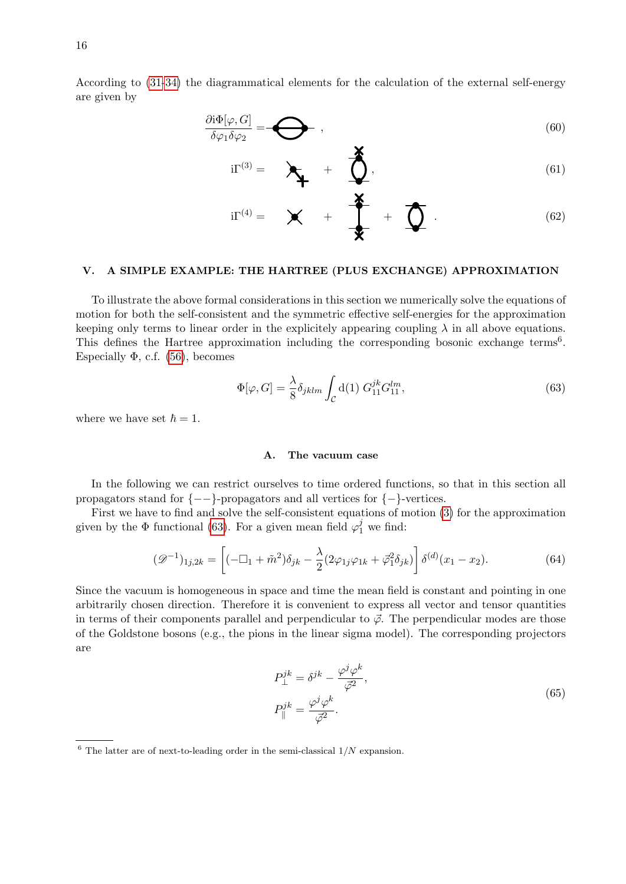16

According to [\(31](#page-8-1)[-34\)](#page-9-1) the diagrammatical elements for the calculation of the external self-energy are given by

$$
\frac{\partial \mathrm{i}\Phi[\varphi, G]}{\delta \varphi_1 \delta \varphi_2} = \bigodot , \qquad (60)
$$

$$
i\Gamma^{(3)} = \sum_{i=1}^{n} \frac{1}{i} \sum_{i=1}^{n} \frac{1}{i} \sum_{i=1}^{n} \frac{1}{i} \sum_{i=1}^{n} \frac{1}{i} \sum_{i=1}^{n} \frac{1}{i} \sum_{i=1}^{n} \frac{1}{i} \sum_{i=1}^{n} \frac{1}{i} \sum_{i=1}^{n} \frac{1}{i} \sum_{i=1}^{n} \frac{1}{i} \sum_{i=1}^{n} \frac{1}{i} \sum_{i=1}^{n} \frac{1}{i} \sum_{i=1}^{n} \frac{1}{i} \sum_{i=1}^{n} \frac{1}{i} \sum_{i=1}^{n} \frac{1}{i} \sum_{i=1}^{n} \frac{1}{i} \sum_{i=1}^{n} \frac{1}{i} \sum_{i=1}^{n} \frac{1}{i} \sum_{i=1}^{n} \frac{1}{i} \sum_{i=1}^{n} \frac{1}{i} \sum_{i=1}^{n} \frac{1}{i} \sum_{i=1}^{n} \frac{1}{i} \sum_{i=1}^{n} \frac{1}{i} \sum_{i=1}^{n} \frac{1}{i} \sum_{i=1}^{n} \frac{1}{i} \sum_{i=1}^{n} \frac{1}{i} \sum_{i=1}^{n} \frac{1}{i} \sum_{i=1}^{n} \frac{1}{i} \sum_{i=1}^{n} \frac{1}{i} \sum_{i=1}^{n} \frac{1}{i} \sum_{i=1}^{n} \frac{1}{i} \sum_{i=1}^{n} \frac{1}{i} \sum_{i=1}^{n} \frac{1}{i} \sum_{i=1}^{n} \frac{1}{i} \sum_{i=1}^{n} \frac{1}{i} \sum_{i=1}^{n} \frac{1}{i} \sum_{i=1}^{n} \frac{1}{i} \sum_{i=1}^{n} \frac{1}{i} \sum_{i=1}^{n} \frac{1}{i} \sum_{i=1}^{n} \frac{1}{i} \sum_{i=1}^{n} \frac{1}{i} \sum_{i=1}^{n} \frac{1}{i} \sum_{i=1}^{n} \frac{1}{i} \sum_{i=1}^{n} \frac{1}{i} \sum_{i=1}^{n} \frac{1}{i} \sum_{
$$

$$
i\Gamma^{(4)} = \bigtimes + \frac{1}{\sum + \frac{1}{2}} + \frac{1}{2} \tag{62}
$$

# <span id="page-15-2"></span>V. A SIMPLE EXAMPLE: THE HARTREE (PLUS EXCHANGE) APPROXIMATION

To illustrate the above formal considerations in this section we numerically solve the equations of motion for both the self-consistent and the symmetric effective self-energies for the approximation keeping only terms to linear order in the explicitely appearing coupling  $\lambda$  in all above equations. This defines the Hartree approximation including the corresponding bosonic exchange terms<sup>6</sup>. Especially  $\Phi$ , c.f. [\(56\)](#page-14-0), becomes

<span id="page-15-0"></span>
$$
\Phi[\varphi, G] = \frac{\lambda}{8} \delta_{jklm} \int_{\mathcal{C}} d(1) G_{11}^{jk} G_{11}^{lm}, \qquad (63)
$$

where we have set  $\hbar = 1$ .

### <span id="page-15-1"></span>A. The vacuum case

In the following we can restrict ourselves to time ordered functions, so that in this section all propagators stand for  $\{-\}$ -propagators and all vertices for  $\{-\}$ -vertices.

First we have to find and solve the self-consistent equations of motion [\(3\)](#page-3-0) for the approximation given by the  $\Phi$  functional [\(63\)](#page-15-0). For a given mean field  $\varphi_1^j$  we find:

$$
(\mathscr{D}^{-1})_{1j,2k} = \left[ (-\Box_1 + \tilde{m}^2) \delta_{jk} - \frac{\lambda}{2} (2\varphi_{1j}\varphi_{1k} + \vec{\varphi}_1^2 \delta_{jk}) \right] \delta^{(d)}(x_1 - x_2). \tag{64}
$$

Since the vacuum is homogeneous in space and time the mean field is constant and pointing in one arbitrarily chosen direction. Therefore it is convenient to express all vector and tensor quantities in terms of their components parallel and perpendicular to  $\vec{\varphi}$ . The perpendicular modes are those of the Goldstone bosons (e.g., the pions in the linear sigma model). The corresponding projectors are

$$
P_{\perp}^{jk} = \delta^{jk} - \frac{\varphi^j \varphi^k}{\vec{\varphi}^2},
$$
  
\n
$$
P_{\parallel}^{jk} = \frac{\varphi^j \varphi^k}{\vec{\varphi}^2}.
$$
\n(65)

 $6$  The latter are of next-to-leading order in the semi-classical  $1/N$  expansion.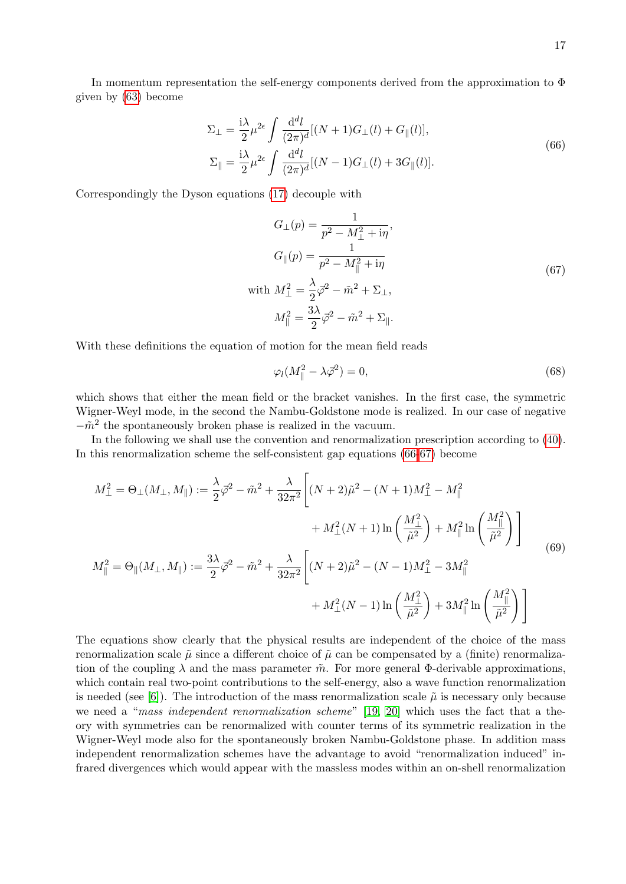<span id="page-16-0"></span>
$$
\Sigma_{\perp} = \frac{i\lambda}{2} \mu^{2\epsilon} \int \frac{d^d l}{(2\pi)^d} [(N+1)G_{\perp}(l) + G_{\parallel}(l)],
$$
  
\n
$$
\Sigma_{\parallel} = \frac{i\lambda}{2} \mu^{2\epsilon} \int \frac{d^d l}{(2\pi)^d} [(N-1)G_{\perp}(l) + 3G_{\parallel}(l)].
$$
\n(66)

Correspondingly the Dyson equations [\(17\)](#page-5-3) decouple with

<span id="page-16-1"></span>
$$
G_{\perp}(p) = \frac{1}{p^2 - M_{\perp}^2 + i\eta},
$$
  
\n
$$
G_{\parallel}(p) = \frac{1}{p^2 - M_{\parallel}^2 + i\eta}
$$
  
\nwith 
$$
M_{\perp}^2 = \frac{\lambda}{2}\vec{\varphi}^2 - \tilde{m}^2 + \Sigma_{\perp},
$$
  
\n
$$
M_{\parallel}^2 = \frac{3\lambda}{2}\vec{\varphi}^2 - \tilde{m}^2 + \Sigma_{\parallel}.
$$
  
\n(67)

With these definitions the equation of motion for the mean field reads

<span id="page-16-3"></span><span id="page-16-2"></span>
$$
\varphi_l(M_{\parallel}^2 - \lambda \vec{\varphi}^2) = 0,\tag{68}
$$

which shows that either the mean field or the bracket vanishes. In the first case, the symmetric Wigner-Weyl mode, in the second the Nambu-Goldstone mode is realized. In our case of negative  $-\tilde{m}^2$  the spontaneously broken phase is realized in the vacuum.

In the following we shall use the convention and renormalization prescription according to [\(40\)](#page-10-1). In this renormalization scheme the self-consistent gap equations [\(66](#page-16-0)[-67\)](#page-16-1) become

$$
M_{\perp}^{2} = \Theta_{\perp}(M_{\perp}, M_{\parallel}) := \frac{\lambda}{2} \vec{\varphi}^{2} - \tilde{m}^{2} + \frac{\lambda}{32\pi^{2}} \left[ (N+2)\tilde{\mu}^{2} - (N+1)M_{\perp}^{2} - M_{\parallel}^{2} \right. \\
\left. + M_{\perp}^{2}(N+1) \ln \left( \frac{M_{\perp}^{2}}{\tilde{\mu}^{2}} \right) + M_{\parallel}^{2} \ln \left( \frac{M_{\parallel}^{2}}{\tilde{\mu}^{2}} \right) \right]
$$
\n
$$
M_{\parallel}^{2} = \Theta_{\parallel}(M_{\perp}, M_{\parallel}) := \frac{3\lambda}{2} \vec{\varphi}^{2} - \tilde{m}^{2} + \frac{\lambda}{32\pi^{2}} \left[ (N+2)\tilde{\mu}^{2} - (N-1)M_{\perp}^{2} - 3M_{\parallel}^{2} + M_{\perp}^{2}(N-1) \ln \left( \frac{M_{\perp}^{2}}{\tilde{\mu}^{2}} \right) + 3M_{\parallel}^{2} \ln \left( \frac{M_{\parallel}^{2}}{\tilde{\mu}^{2}} \right) \right]
$$
\n(69)

The equations show clearly that the physical results are independent of the choice of the mass renormalization scale  $\tilde{\mu}$  since a different choice of  $\tilde{\mu}$  can be compensated by a (finite) renormalization of the coupling  $\lambda$  and the mass parameter  $\tilde{m}$ . For more general Φ-derivable approximations, which contain real two-point contributions to the self-energy, also a wave function renormalization is needed (see [\[6\]](#page-31-2)). The introduction of the mass renormalization scale  $\tilde{\mu}$  is necessary only because we need a "mass independent renormalization scheme" [\[19,](#page-31-15) [20\]](#page-31-16) which uses the fact that a theory with symmetries can be renormalized with counter terms of its symmetric realization in the Wigner-Weyl mode also for the spontaneously broken Nambu-Goldstone phase. In addition mass independent renormalization schemes have the advantage to avoid "renormalization induced" infrared divergences which would appear with the massless modes within an on-shell renormalization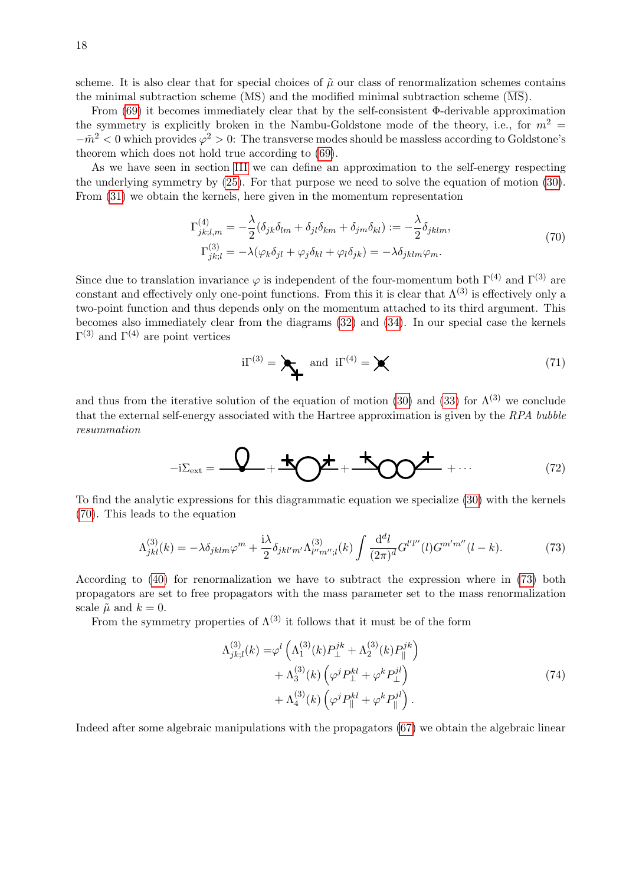scheme. It is also clear that for special choices of  $\tilde{\mu}$  our class of renormalization schemes contains the minimal subtraction scheme (MS) and the modified minimal subtraction scheme  $(\overline{\text{MS}})$ .

From [\(69\)](#page-16-2) it becomes immediately clear that by the self-consistent Φ-derivable approximation the symmetry is explicitly broken in the Nambu-Goldstone mode of the theory, i.e., for  $m^2 =$  $-\tilde{m}^2 < 0$  which provides  $\varphi^2 > 0$ : The transverse modes should be massless according to Goldstone's theorem which does not hold true according to [\(69\)](#page-16-2).

As we have seen in section [III](#page-5-0) we can define an approximation to the self-energy respecting the underlying symmetry by [\(25\)](#page-7-0). For that purpose we need to solve the equation of motion [\(30\)](#page-8-0). From [\(31\)](#page-8-1) we obtain the kernels, here given in the momentum representation

<span id="page-17-0"></span>
$$
\Gamma_{jk;l,m}^{(4)} = -\frac{\lambda}{2} (\delta_{jk}\delta_{lm} + \delta_{jl}\delta_{km} + \delta_{jm}\delta_{kl}) := -\frac{\lambda}{2} \delta_{jklm},
$$
  
\n
$$
\Gamma_{jk;l}^{(3)} = -\lambda (\varphi_k \delta_{jl} + \varphi_j \delta_{kl} + \varphi_l \delta_{jk}) = -\lambda \delta_{jklm} \varphi_m.
$$
\n(70)

Since due to translation invariance  $\varphi$  is independent of the four-momentum both  $\Gamma^{(4)}$  and  $\Gamma^{(3)}$  are constant and effectively only one-point functions. From this it is clear that  $\Lambda^{(3)}$  is effectively only a two-point function and thus depends only on the momentum attached to its third argument. This becomes also immediately clear from the diagrams [\(32\)](#page-8-2) and [\(34\)](#page-9-1). In our special case the kernels  $\Gamma^{(3)}$  and  $\Gamma^{(4)}$  are point vertices

$$
i\Gamma^{(3)} = \sum_{i} \text{ and } i\Gamma^{(4)} = \sum_{i} \tag{71}
$$

and thus from the iterative solution of the equation of motion [\(30\)](#page-8-0) and [\(33\)](#page-9-2) for  $\Lambda^{(3)}$  we conclude that the external self-energy associated with the Hartree approximation is given by the RPA bubble resummation

<span id="page-17-2"></span><span id="page-17-1"></span>
$$
-i\Sigma_{\text{ext}} = \frac{Q}{\sqrt{2}} + \frac{1}{2} \frac{1}{\sqrt{2}} + \frac{1}{2} \frac{1}{\sqrt{2}} + \cdots
$$
 (72)

To find the analytic expressions for this diagrammatic equation we specialize [\(30\)](#page-8-0) with the kernels [\(70\)](#page-17-0). This leads to the equation

$$
\Lambda_{jkl}^{(3)}(k) = -\lambda \delta_{jklm} \varphi^m + \frac{\mathrm{i}\lambda}{2} \delta_{jkl'm'} \Lambda_{l''m'',l}^{(3)}(k) \int \frac{\mathrm{d}^d l}{(2\pi)^d} G^{l'l''}(l) G^{m'm''}(l-k). \tag{73}
$$

According to [\(40\)](#page-10-1) for renormalization we have to subtract the expression where in [\(73\)](#page-17-1) both propagators are set to free propagators with the mass parameter set to the mass renormalization scale  $\tilde{\mu}$  and  $k = 0$ .

From the symmetry properties of  $\Lambda^{(3)}$  it follows that it must be of the form

$$
\Lambda_{jk;l}^{(3)}(k) = \varphi^l \left( \Lambda_1^{(3)}(k) P_{\perp}^{jk} + \Lambda_2^{(3)}(k) P_{\parallel}^{jk} \right) + \Lambda_3^{(3)}(k) \left( \varphi^j P_{\perp}^{kl} + \varphi^k P_{\perp}^{jl} \right) + \Lambda_4^{(3)}(k) \left( \varphi^j P_{\parallel}^{kl} + \varphi^k P_{\parallel}^{jl} \right).
$$
\n(74)

Indeed after some algebraic manipulations with the propagators [\(67\)](#page-16-1) we obtain the algebraic linear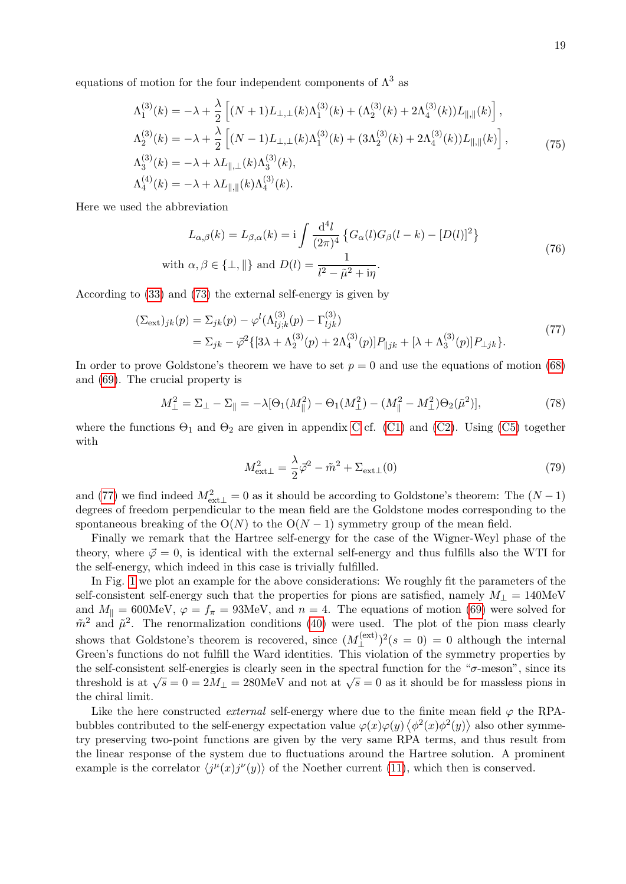equations of motion for the four independent components of  $\Lambda^3$  as

<span id="page-18-1"></span>
$$
\Lambda_1^{(3)}(k) = -\lambda + \frac{\lambda}{2} \left[ (N+1)L_{\perp,\perp}(k)\Lambda_1^{(3)}(k) + (\Lambda_2^{(3)}(k) + 2\Lambda_4^{(3)}(k))L_{\parallel,\parallel}(k) \right],
$$
  
\n
$$
\Lambda_2^{(3)}(k) = -\lambda + \frac{\lambda}{2} \left[ (N-1)L_{\perp,\perp}(k)\Lambda_1^{(3)}(k) + (3\Lambda_2^{(3)}(k) + 2\Lambda_4^{(3)}(k))L_{\parallel,\parallel}(k) \right],
$$
  
\n
$$
\Lambda_3^{(3)}(k) = -\lambda + \lambda L_{\parallel,\perp}(k)\Lambda_3^{(3)}(k),
$$
  
\n
$$
\Lambda_4^{(4)}(k) = -\lambda + \lambda L_{\parallel,\parallel}(k)\Lambda_4^{(3)}(k).
$$
\n(75)

Here we used the abbreviation

<span id="page-18-2"></span>
$$
L_{\alpha,\beta}(k) = L_{\beta,\alpha}(k) = \mathbf{i} \int \frac{\mathrm{d}^4 l}{(2\pi)^4} \left\{ G_{\alpha}(l) G_{\beta}(l-k) - [D(l)]^2 \right\}
$$
  
with  $\alpha, \beta \in \{\perp, \parallel\}$  and  $D(l) = \frac{1}{l^2 - \tilde{\mu}^2 + i\eta}$ . (76)

According to [\(33\)](#page-9-2) and [\(73\)](#page-17-1) the external self-energy is given by

$$
\begin{split} (\Sigma_{\text{ext}})_{jk}(p) &= \Sigma_{jk}(p) - \varphi^l(\Lambda_{lj;k}^{(3)}(p) - \Gamma_{ljk}^{(3)}) \\ &= \Sigma_{jk} - \bar{\varphi}^2 \{ [3\lambda + \Lambda_2^{(3)}(p) + 2\Lambda_4^{(3)}(p)] P_{\parallel jk} + [\lambda + \Lambda_3^{(3)}(p)] P_{\perp jk} \}. \end{split} \tag{77}
$$

In order to prove Goldstone's theorem we have to set  $p = 0$  and use the equations of motion [\(68\)](#page-16-3) and [\(69\)](#page-16-2). The crucial property is

$$
M_{\perp}^2 = \Sigma_{\perp} - \Sigma_{\parallel} = -\lambda [\Theta_1(M_{\parallel}^2) - \Theta_1(M_{\perp}^2) - (M_{\parallel}^2 - M_{\perp}^2)\Theta_2(\tilde{\mu}^2)],\tag{78}
$$

where the functions  $\Theta_1$  and  $\Theta_2$  are given in appendix [C](#page-29-1) cf. [\(C1\)](#page-29-2) and [\(C2\)](#page-30-3). Using [\(C5\)](#page-30-4) together with

<span id="page-18-0"></span>
$$
M_{\text{ext}\perp}^2 = \frac{\lambda}{2}\vec{\varphi}^2 - \tilde{m}^2 + \Sigma_{\text{ext}\perp}(0) \tag{79}
$$

and [\(77\)](#page-18-0) we find indeed  $M_{\text{ext}\perp}^2 = 0$  as it should be according to Goldstone's theorem: The  $(N-1)$ degrees of freedom perpendicular to the mean field are the Goldstone modes corresponding to the spontaneous breaking of the  $O(N)$  to the  $O(N-1)$  symmetry group of the mean field.

Finally we remark that the Hartree self-energy for the case of the Wigner-Weyl phase of the theory, where  $\vec{\varphi} = 0$ , is identical with the external self-energy and thus fulfills also the WTI for the self-energy, which indeed in this case is trivially fulfilled.

In Fig. [1](#page-19-0) we plot an example for the above considerations: We roughly fit the parameters of the self-consistent self-energy such that the properties for pions are satisfied, namely  $M_{\perp} = 140 \text{MeV}$ and  $M_{\parallel} = 600 \text{MeV}, \ \varphi = f_{\pi} = 93 \text{MeV}, \ \text{and} \ n = 4.$  The equations of motion [\(69\)](#page-16-2) were solved for  $\tilde{m}^2$  and  $\tilde{\mu}^2$ . The renormalization conditions [\(40\)](#page-10-1) were used. The plot of the pion mass clearly shows that Goldstone's theorem is recovered, since  $(M_1^{\text{(ext)}})$  $(\xi^{(ext)})^2(s=0) = 0$  although the internal Green's functions do not fulfill the Ward identities. This violation of the symmetry properties by the self-consistent self-energies is clearly seen in the spectral function for the " $\sigma$ -meson", since its the sen-consistent sen-energies is clearly seen in the spectral function for the  $\sigma$ -meson, since its threshold is at  $\sqrt{s} = 0 = 2M_{\perp} = 280$ MeV and not at  $\sqrt{s} = 0$  as it should be for massless pions in the chiral limit.

Like the here constructed *external* self-energy where due to the finite mean field  $\varphi$  the RPAbubbles contributed to the self-energy expectation value  $\varphi(x)\varphi(y)\langle\phi^2(x)\phi^2(y)\rangle$  also other symmetry preserving two-point functions are given by the very same RPA terms, and thus result from the linear response of the system due to fluctuations around the Hartree solution. A prominent example is the correlator  $\langle j^{\mu}(x) j^{\nu}(y) \rangle$  of the Noether current [\(11\)](#page-4-5), which then is conserved.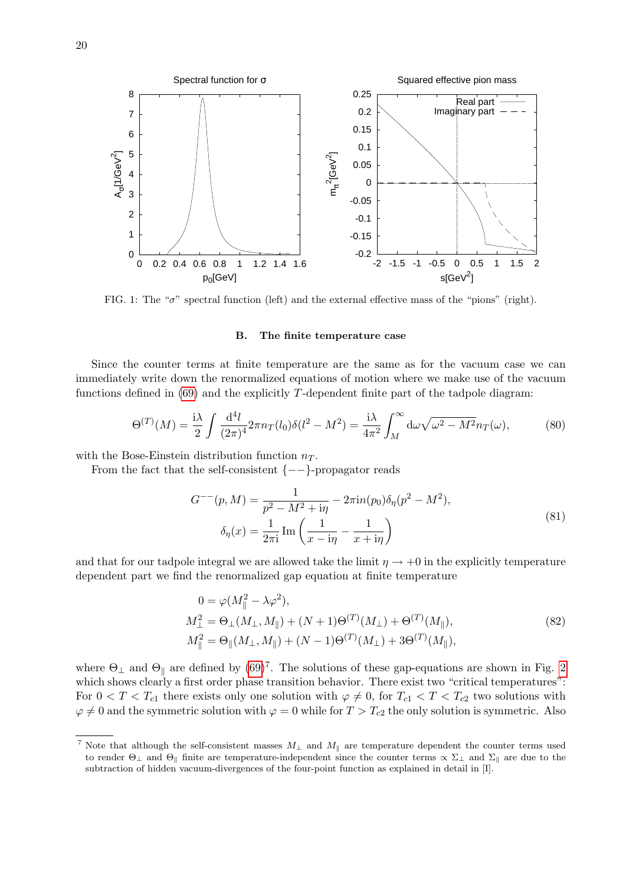

<span id="page-19-0"></span>FIG. 1: The " $\sigma$ " spectral function (left) and the external effective mass of the "pions" (right).

#### B. The finite temperature case

Since the counter terms at finite temperature are the same as for the vacuum case we can immediately write down the renormalized equations of motion where we make use of the vacuum functions defined in  $(69)$  and the explicitly T-dependent finite part of the tadpole diagram:

$$
\Theta^{(T)}(M) = \frac{i\lambda}{2} \int \frac{\mathrm{d}^4 l}{(2\pi)^4} 2\pi n_T(l_0) \delta(l^2 - M^2) = \frac{i\lambda}{4\pi^2} \int_M^\infty \mathrm{d}\omega \sqrt{\omega^2 - M^2} n_T(\omega),\tag{80}
$$

with the Bose-Einstein distribution function  $n_T$ .

From the fact that the self-consistent  $\{--\}$ -propagator reads

$$
G^{--}(p, M) = \frac{1}{p^2 - M^2 + i\eta} - 2\pi i n(p_0)\delta_\eta(p^2 - M^2),
$$
  

$$
\delta_\eta(x) = \frac{1}{2\pi i} \operatorname{Im} \left( \frac{1}{x - i\eta} - \frac{1}{x + i\eta} \right)
$$
 (81)

and that for our tadpole integral we are allowed take the limit  $\eta \to +0$  in the explicitly temperature dependent part we find the renormalized gap equation at finite temperature

<span id="page-19-1"></span>
$$
0 = \varphi(M_{\parallel}^{2} - \lambda \varphi^{2}),
$$
  
\n
$$
M_{\perp}^{2} = \Theta_{\perp}(M_{\perp}, M_{\parallel}) + (N + 1)\Theta^{(T)}(M_{\perp}) + \Theta^{(T)}(M_{\parallel}),
$$
  
\n
$$
M_{\parallel}^{2} = \Theta_{\parallel}(M_{\perp}, M_{\parallel}) + (N - 1)\Theta^{(T)}(M_{\perp}) + 3\Theta^{(T)}(M_{\parallel}),
$$
\n(82)

where  $\Theta_{\perp}$  and  $\Theta_{\parallel}$  are defined by  $(69)^7$ . The solutions of these gap-equations are shown in Fig. [2](#page-20-0) which shows clearly a first order phase transition behavior. There exist two "critical temperatures": For  $0 < T < T_{c1}$  there exists only one solution with  $\varphi \neq 0$ , for  $T_{c1} < T < T_{c2}$  two solutions with  $\varphi \neq 0$  and the symmetric solution with  $\varphi = 0$  while for  $T > T_{c2}$  the only solution is symmetric. Also

<sup>&</sup>lt;sup>7</sup> Note that although the self-consistent masses  $M_{\perp}$  and  $M_{\parallel}$  are temperature dependent the counter terms used to render  $\Theta_{\perp}$  and  $\Theta_{\parallel}$  finite are temperature-independent since the counter terms  $\propto \Sigma_{\perp}$  and  $\Sigma_{\parallel}$  are due to the subtraction of hidden vacuum-divergences of the four-point function as explained in detail in [I].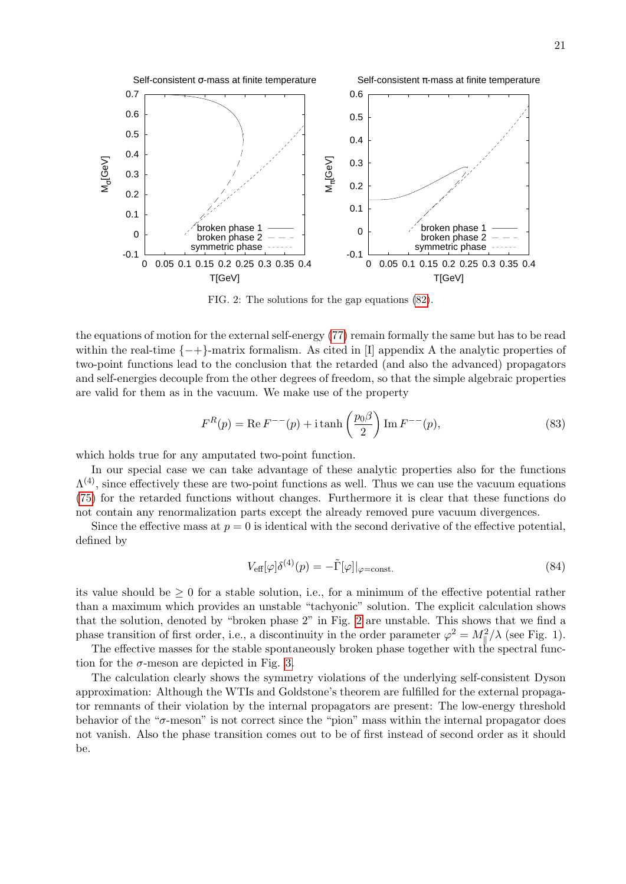

<span id="page-20-0"></span>FIG. 2: The solutions for the gap equations [\(82\)](#page-19-1).

the equations of motion for the external self-energy [\(77\)](#page-18-0) remain formally the same but has to be read within the real-time  $\{-+\}$ -matrix formalism. As cited in [I] appendix A the analytic properties of two-point functions lead to the conclusion that the retarded (and also the advanced) propagators and self-energies decouple from the other degrees of freedom, so that the simple algebraic properties are valid for them as in the vacuum. We make use of the property

$$
F^{R}(p) = \text{Re}\, F^{--(p)} + \text{i}\, \tanh\left(\frac{p_0 \beta}{2}\right) \text{Im}\, F^{--(p)},\tag{83}
$$

which holds true for any amputated two-point function.

In our special case we can take advantage of these analytic properties also for the functions  $\Lambda^{(4)}$ , since effectively these are two-point functions as well. Thus we can use the vacuum equations [\(75\)](#page-18-1) for the retarded functions without changes. Furthermore it is clear that these functions do not contain any renormalization parts except the already removed pure vacuum divergences.

Since the effective mass at  $p = 0$  is identical with the second derivative of the effective potential, defined by

$$
V_{\text{eff}}[\varphi]\delta^{(4)}(p) = -\tilde{\Gamma}[\varphi]|_{\varphi=\text{const.}}\tag{84}
$$

its value should be  $\geq 0$  for a stable solution, i.e., for a minimum of the effective potential rather than a maximum which provides an unstable "tachyonic" solution. The explicit calculation shows that the solution, denoted by "broken phase 2" in Fig. [2](#page-20-0) are unstable. This shows that we find a phase transition of first order, i.e., a discontinuity in the order parameter  $\varphi^2 = M_{\parallel}^2/\lambda$  (see Fig. 1).

The effective masses for the stable spontaneously broken phase together with the spectral function for the  $\sigma$ -meson are depicted in Fig. [3.](#page-21-0)

The calculation clearly shows the symmetry violations of the underlying self-consistent Dyson approximation: Although the WTIs and Goldstone's theorem are fulfilled for the external propagator remnants of their violation by the internal propagators are present: The low-energy threshold behavior of the " $\sigma$ -meson" is not correct since the "pion" mass within the internal propagator does not vanish. Also the phase transition comes out to be of first instead of second order as it should be.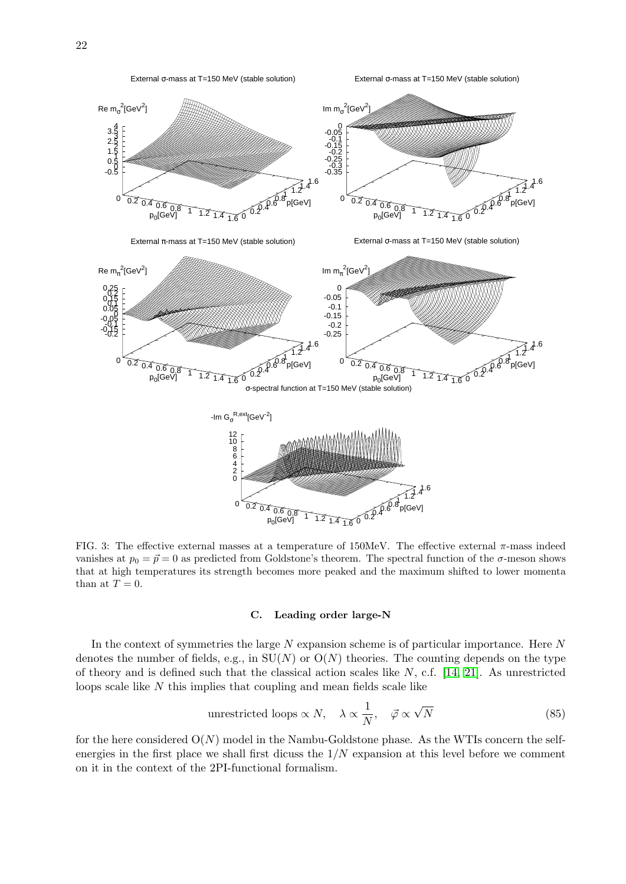

<span id="page-21-0"></span>FIG. 3: The effective external masses at a temperature of  $150$ MeV. The effective external  $\pi$ -mass indeed vanishes at  $p_0 = \vec{p} = 0$  as predicted from Goldstone's theorem. The spectral function of the  $\sigma$ -meson shows that at high temperatures its strength becomes more peaked and the maximum shifted to lower momenta than at  $T = 0$ .

### <span id="page-21-1"></span>C. Leading order large-N

In the context of symmetries the large  $N$  expansion scheme is of particular importance. Here  $N$ denotes the number of fields, e.g., in  $SU(N)$  or  $O(N)$  theories. The counting depends on the type of theory and is defined such that the classical action scales like  $N$ , c.f. [\[14,](#page-31-10) [21\]](#page-31-17). As unrestricted loops scale like N this implies that coupling and mean fields scale like

unrestricted loops 
$$
\propto N
$$
,  $\lambda \propto \frac{1}{N}$ ,  $\vec{\varphi} \propto \sqrt{N}$  (85)

for the here considered  $O(N)$  model in the Nambu-Goldstone phase. As the WTIs concern the selfenergies in the first place we shall first dicuss the  $1/N$  expansion at this level before we comment on it in the context of the 2PI-functional formalism.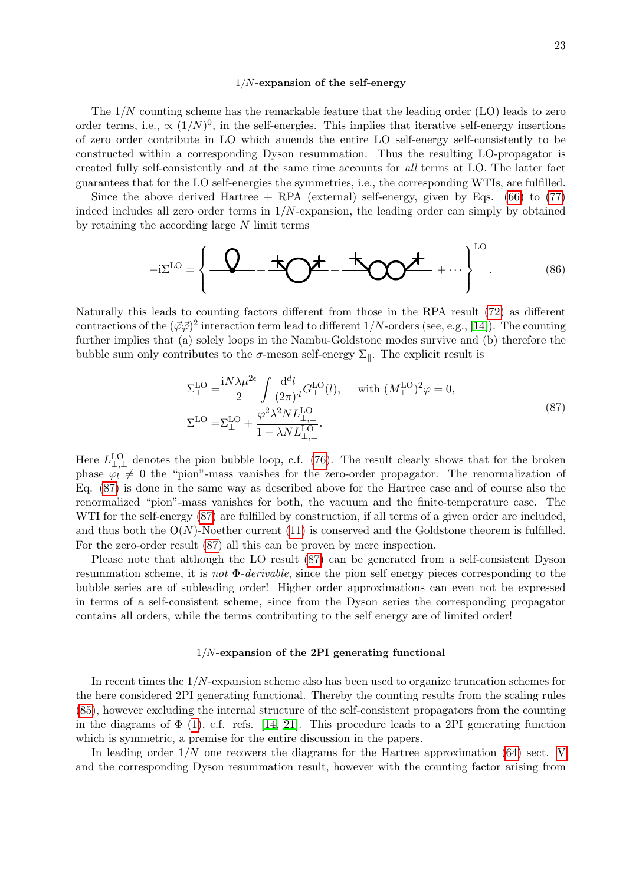#### <span id="page-22-2"></span><span id="page-22-0"></span> $1/N$ -expansion of the self-energy

The  $1/N$  counting scheme has the remarkable feature that the leading order (LO) leads to zero order terms, i.e.,  $\propto (1/N)^0$ , in the self-energies. This implies that iterative self-energy insertions of zero order contribute in LO which amends the entire LO self-energy self-consistently to be constructed within a corresponding Dyson resummation. Thus the resulting LO-propagator is created fully self-consistently and at the same time accounts for all terms at LO. The latter fact guarantees that for the LO self-energies the symmetries, i.e., the corresponding WTIs, are fulfilled.

Since the above derived Hartree  $+$  RPA (external) self-energy, given by Eqs. [\(66\)](#page-16-0) to [\(77\)](#page-18-0) indeed includes all zero order terms in  $1/N$ -expansion, the leading order can simply by obtained by retaining the according large N limit terms

$$
-i\Sigma^{LO} = \left\{ \begin{array}{c} \mathbf{Q} + \mathbf{A} \mathbf{Q} + \mathbf{A} \mathbf{Q} \mathbf{Q} + \cdots \end{array} \right\}^{LO} \tag{86}
$$

Naturally this leads to counting factors different from those in the RPA result [\(72\)](#page-17-2) as different contractions of the  $(\vec{\varphi}\vec{\varphi})^2$  interaction term lead to different 1/N-orders (see, e.g., [\[14\]](#page-31-10)). The counting further implies that (a) solely loops in the Nambu-Goldstone modes survive and (b) therefore the bubble sum only contributes to the  $\sigma$ -meson self-energy  $\Sigma_{\parallel}$ . The explicit result is

<span id="page-22-1"></span>
$$
\Sigma_{\perp}^{\text{LO}} = \frac{iN\lambda\mu^{2\epsilon}}{2} \int \frac{\mathrm{d}^d l}{(2\pi)^d} G_{\perp}^{\text{LO}}(l), \quad \text{ with } (M_{\perp}^{\text{LO}})^2 \varphi = 0,
$$
\n
$$
\Sigma_{\parallel}^{\text{LO}} = \Sigma_{\perp}^{\text{LO}} + \frac{\varphi^2 \lambda^2 N L_{\perp,\perp}^{\text{LO}}}{1 - \lambda N L_{\perp,\perp}^{\text{LO}}}.
$$
\n(87)

Here  $L_{\perp,\perp}^{LO}$  denotes the pion bubble loop, c.f. [\(76\)](#page-18-2). The result clearly shows that for the broken phase  $\varphi_l \neq 0$  the "pion"-mass vanishes for the zero-order propagator. The renormalization of Eq. [\(87\)](#page-22-1) is done in the same way as described above for the Hartree case and of course also the renormalized "pion"-mass vanishes for both, the vacuum and the finite-temperature case. The WTI for the self-energy [\(87\)](#page-22-1) are fulfilled by construction, if all terms of a given order are included, and thus both the  $O(N)$ -Noether current [\(11\)](#page-4-5) is conserved and the Goldstone theorem is fulfilled. For the zero-order result [\(87\)](#page-22-1) all this can be proven by mere inspection.

Please note that although the LO result [\(87\)](#page-22-1) can be generated from a self-consistent Dyson resummation scheme, it is *not*  $\Phi$ -*derivable*, since the pion self energy pieces corresponding to the bubble series are of subleading order! Higher order approximations can even not be expressed in terms of a self-consistent scheme, since from the Dyson series the corresponding propagator contains all orders, while the terms contributing to the self energy are of limited order!

#### $1/N$ -expansion of the 2PI generating functional

In recent times the  $1/N$ -expansion scheme also has been used to organize truncation schemes for the here considered 2PI generating functional. Thereby the counting results from the scaling rules [\(85\)](#page-21-1), however excluding the internal structure of the self-consistent propagators from the counting in the diagrams of  $\Phi$  [\(1\)](#page-2-1), c.f. refs. [\[14,](#page-31-10) [21\]](#page-31-17). This procedure leads to a 2PI generating function which is symmetric, a premise for the entire discussion in the papers.

In leading order  $1/N$  one recovers the diagrams for the Hartree approximation [\(64\)](#page-15-1) sect. [V](#page-15-2) and the corresponding Dyson resummation result, however with the counting factor arising from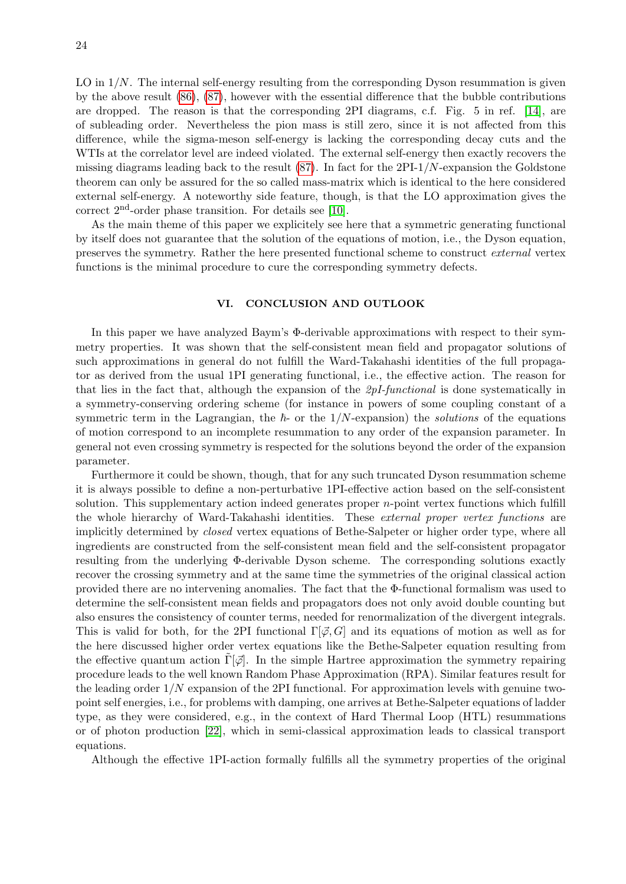LO in  $1/N$ . The internal self-energy resulting from the corresponding Dyson resummation is given by the above result [\(86\)](#page-22-2), [\(87\)](#page-22-1), however with the essential difference that the bubble contributions are dropped. The reason is that the corresponding 2PI diagrams, c.f. Fig. 5 in ref. [\[14\]](#page-31-10), are of subleading order. Nevertheless the pion mass is still zero, since it is not affected from this difference, while the sigma-meson self-energy is lacking the corresponding decay cuts and the WTIs at the correlator level are indeed violated. The external self-energy then exactly recovers the missing diagrams leading back to the result  $(87)$ . In fact for the 2PI-1/N-expansion the Goldstone theorem can only be assured for the so called mass-matrix which is identical to the here considered external self-energy. A noteworthy side feature, though, is that the LO approximation gives the correct 2nd-order phase transition. For details see [\[10\]](#page-31-6).

As the main theme of this paper we explicitely see here that a symmetric generating functional by itself does not guarantee that the solution of the equations of motion, i.e., the Dyson equation, preserves the symmetry. Rather the here presented functional scheme to construct external vertex functions is the minimal procedure to cure the corresponding symmetry defects.

# VI. CONCLUSION AND OUTLOOK

In this paper we have analyzed Baym's Φ-derivable approximations with respect to their symmetry properties. It was shown that the self-consistent mean field and propagator solutions of such approximations in general do not fulfill the Ward-Takahashi identities of the full propagator as derived from the usual 1PI generating functional, i.e., the effective action. The reason for that lies in the fact that, although the expansion of the 2pI-functional is done systematically in a symmetry-conserving ordering scheme (for instance in powers of some coupling constant of a symmetric term in the Lagrangian, the  $\hbar$ - or the 1/N-expansion) the solutions of the equations of motion correspond to an incomplete resummation to any order of the expansion parameter. In general not even crossing symmetry is respected for the solutions beyond the order of the expansion parameter.

Furthermore it could be shown, though, that for any such truncated Dyson resummation scheme it is always possible to define a non-perturbative 1PI-effective action based on the self-consistent solution. This supplementary action indeed generates proper  $n$ -point vertex functions which fulfill the whole hierarchy of Ward-Takahashi identities. These external proper vertex functions are implicitly determined by closed vertex equations of Bethe-Salpeter or higher order type, where all ingredients are constructed from the self-consistent mean field and the self-consistent propagator resulting from the underlying Φ-derivable Dyson scheme. The corresponding solutions exactly recover the crossing symmetry and at the same time the symmetries of the original classical action provided there are no intervening anomalies. The fact that the Φ-functional formalism was used to determine the self-consistent mean fields and propagators does not only avoid double counting but also ensures the consistency of counter terms, needed for renormalization of the divergent integrals. This is valid for both, for the 2PI functional  $\Gamma[\phi, G]$  and its equations of motion as well as for the here discussed higher order vertex equations like the Bethe-Salpeter equation resulting from the effective quantum action  $\Gamma[\vec{\varphi}]$ . In the simple Hartree approximation the symmetry repairing procedure leads to the well known Random Phase Approximation (RPA). Similar features result for the leading order  $1/N$  expansion of the 2PI functional. For approximation levels with genuine twopoint self energies, i.e., for problems with damping, one arrives at Bethe-Salpeter equations of ladder type, as they were considered, e.g., in the context of Hard Thermal Loop (HTL) resummations or of photon production [\[22\]](#page-31-18), which in semi-classical approximation leads to classical transport equations.

Although the effective 1PI-action formally fulfills all the symmetry properties of the original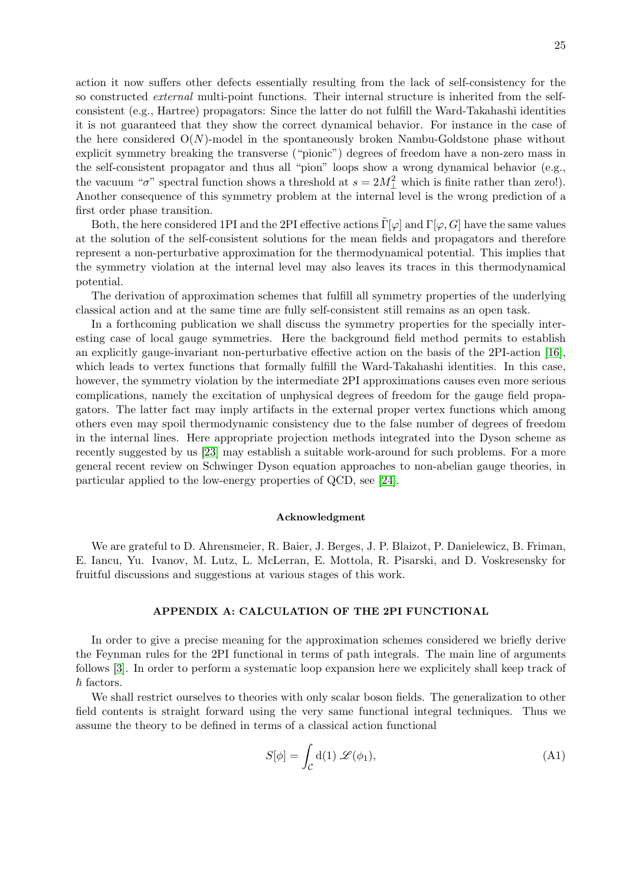action it now suffers other defects essentially resulting from the lack of self-consistency for the so constructed *external* multi-point functions. Their internal structure is inherited from the selfconsistent (e.g., Hartree) propagators: Since the latter do not fulfill the Ward-Takahashi identities it is not guaranteed that they show the correct dynamical behavior. For instance in the case of the here considered  $O(N)$ -model in the spontaneously broken Nambu-Goldstone phase without explicit symmetry breaking the transverse ("pionic") degrees of freedom have a non-zero mass in the self-consistent propagator and thus all "pion" loops show a wrong dynamical behavior (e.g., the vacuum " $\sigma$ " spectral function shows a threshold at  $s = 2M_{\perp}^2$  which is finite rather than zero!). Another consequence of this symmetry problem at the internal level is the wrong prediction of a first order phase transition.

Both, the here considered 1PI and the 2PI effective actions  $\tilde{\Gamma}[\varphi]$  and  $\Gamma[\varphi, G]$  have the same values at the solution of the self-consistent solutions for the mean fields and propagators and therefore represent a non-perturbative approximation for the thermodynamical potential. This implies that the symmetry violation at the internal level may also leaves its traces in this thermodynamical potential.

The derivation of approximation schemes that fulfill all symmetry properties of the underlying classical action and at the same time are fully self-consistent still remains as an open task.

In a forthcoming publication we shall discuss the symmetry properties for the specially interesting case of local gauge symmetries. Here the background field method permits to establish an explicitly gauge-invariant non-perturbative effective action on the basis of the 2PI-action [\[16\]](#page-31-12), which leads to vertex functions that formally fulfill the Ward-Takahashi identities. In this case, however, the symmetry violation by the intermediate 2PI approximations causes even more serious complications, namely the excitation of unphysical degrees of freedom for the gauge field propagators. The latter fact may imply artifacts in the external proper vertex functions which among others even may spoil thermodynamic consistency due to the false number of degrees of freedom in the internal lines. Here appropriate projection methods integrated into the Dyson scheme as recently suggested by us [\[23\]](#page-31-19) may establish a suitable work-around for such problems. For a more general recent review on Schwinger Dyson equation approaches to non-abelian gauge theories, in particular applied to the low-energy properties of QCD, see [\[24\]](#page-31-20).

#### Acknowledgment

We are grateful to D. Ahrensmeier, R. Baier, J. Berges, J. P. Blaizot, P. Danielewicz, B. Friman, E. Iancu, Yu. Ivanov, M. Lutz, L. McLerran, E. Mottola, R. Pisarski, and D. Voskresensky for fruitful discussions and suggestions at various stages of this work.

### <span id="page-24-0"></span>APPENDIX A: CALCULATION OF THE 2PI FUNCTIONAL

In order to give a precise meaning for the approximation schemes considered we briefly derive the Feynman rules for the 2PI functional in terms of path integrals. The main line of arguments follows [\[3\]](#page-30-2). In order to perform a systematic loop expansion here we explicitely shall keep track of  $\hbar$  factors.

We shall restrict ourselves to theories with only scalar boson fields. The generalization to other field contents is straight forward using the very same functional integral techniques. Thus we assume the theory to be defined in terms of a classical action functional

$$
S[\phi] = \int_{\mathcal{C}} d(1) \mathcal{L}(\phi_1), \tag{A1}
$$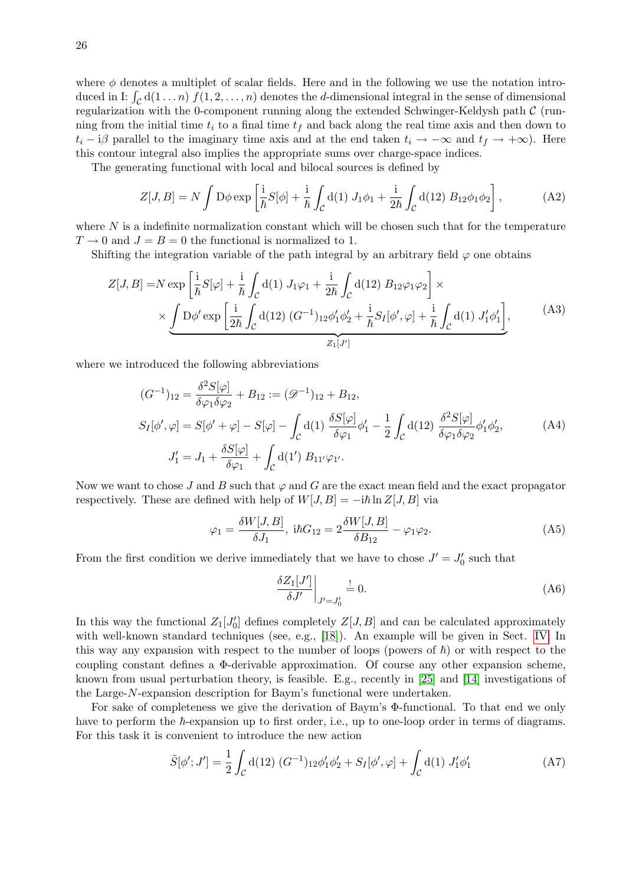where  $\phi$  denotes a multiplet of scalar fields. Here and in the following we use the notation introduced in I:  $\int_{\mathcal{C}} d(1 \ldots n) f(1, 2, \ldots, n)$  denotes the *d*-dimensional integral in the sense of dimensional regularization with the 0-component running along the extended Schwinger-Keldysh path  $\mathcal C$  (running from the initial time  $t_i$  to a final time  $t_f$  and back along the real time axis and then down to  $t_i - i\beta$  parallel to the imaginary time axis and at the end taken  $t_i \rightarrow -\infty$  and  $t_f \rightarrow +\infty$ ). Here this contour integral also implies the appropriate sums over charge-space indices.

The generating functional with local and bilocal sources is defined by

<span id="page-25-2"></span>
$$
Z[J, B] = N \int D\phi \exp\left[\frac{i}{\hbar}S[\phi] + \frac{i}{\hbar} \int_C d(1) J_1 \phi_1 + \frac{i}{2\hbar} \int_C d(12) B_{12} \phi_1 \phi_2\right],
$$
 (A2)

where  $N$  is a indefinite normalization constant which will be chosen such that for the temperature  $T \rightarrow 0$  and  $J = B = 0$  the functional is normalized to 1.

Shifting the integration variable of the path integral by an arbitrary field  $\varphi$  one obtains

$$
Z[J, B] = N \exp\left[\frac{i}{\hbar}S[\varphi] + \frac{i}{\hbar} \int_{\mathcal{C}} d(1) J_1 \varphi_1 + \frac{i}{2\hbar} \int_{\mathcal{C}} d(12) B_{12} \varphi_1 \varphi_2\right] \times \times \underbrace{\int D\phi' \exp\left[\frac{i}{2\hbar} \int_{\mathcal{C}} d(12) (G^{-1})_{12} \phi'_1 \phi'_2 + \frac{i}{\hbar} S_I[\phi', \varphi] + \frac{i}{\hbar} \int_{\mathcal{C}} d(1) J'_1 \phi'_1\right]}_{Z_1[J']},
$$
 (A3)

where we introduced the following abbreviations

<span id="page-25-1"></span>
$$
(G^{-1})_{12} = \frac{\delta^2 S[\varphi]}{\delta \varphi_1 \delta \varphi_2} + B_{12} := (\mathcal{D}^{-1})_{12} + B_{12},
$$
  
\n
$$
S_I[\phi', \varphi] = S[\phi' + \varphi] - S[\varphi] - \int_C d(1) \frac{\delta S[\varphi]}{\delta \varphi_1} \phi'_1 - \frac{1}{2} \int_C d(12) \frac{\delta^2 S[\varphi]}{\delta \varphi_1 \delta \varphi_2} \phi'_1 \phi'_2,
$$
  
\n
$$
J'_1 = J_1 + \frac{\delta S[\varphi]}{\delta \varphi_1} + \int_C d(1') B_{11'} \varphi_{1'}.
$$
\n(A4)

Now we want to chose J and B such that  $\varphi$  and G are the exact mean field and the exact propagator respectively. These are defined with help of  $W[J, B] = -i\hbar \ln Z[J, B]$  via

$$
\varphi_1 = \frac{\delta W[J, B]}{\delta J_1}, \text{ if } G_{12} = 2\frac{\delta W[J, B]}{\delta B_{12}} - \varphi_1 \varphi_2. \tag{A5}
$$

From the first condition we derive immediately that we have to chose  $J' = J'_0$  such that

<span id="page-25-3"></span><span id="page-25-0"></span>
$$
\left. \frac{\delta Z_1[J']}{\delta J'} \right|_{J'=J'_0} \stackrel{!}{=} 0. \tag{A6}
$$

In this way the functional  $Z_1[J_0']$  defines completely  $Z[J, B]$  and can be calculated approximately with well-known standard techniques (see, e.g., [\[18\]](#page-31-14)). An example will be given in Sect. [IV.](#page-12-0) In this way any expansion with respect to the number of loops (powers of  $\hbar$ ) or with respect to the coupling constant defines a Φ-derivable approximation. Of course any other expansion scheme, known from usual perturbation theory, is feasible. E.g., recently in [\[25\]](#page-31-21) and [\[14\]](#page-31-10) investigations of the Large-N-expansion description for Baym's functional were undertaken.

For sake of completeness we give the derivation of Baym's Φ-functional. To that end we only have to perform the  $\hbar$ -expansion up to first order, i.e., up to one-loop order in terms of diagrams. For this task it is convenient to introduce the new action

$$
\tilde{S}[\phi';J'] = \frac{1}{2} \int_{\mathcal{C}} d(12) (G^{-1})_{12} \phi'_1 \phi'_2 + S_I[\phi', \varphi] + \int_{\mathcal{C}} d(1) J'_1 \phi'_1 \tag{A7}
$$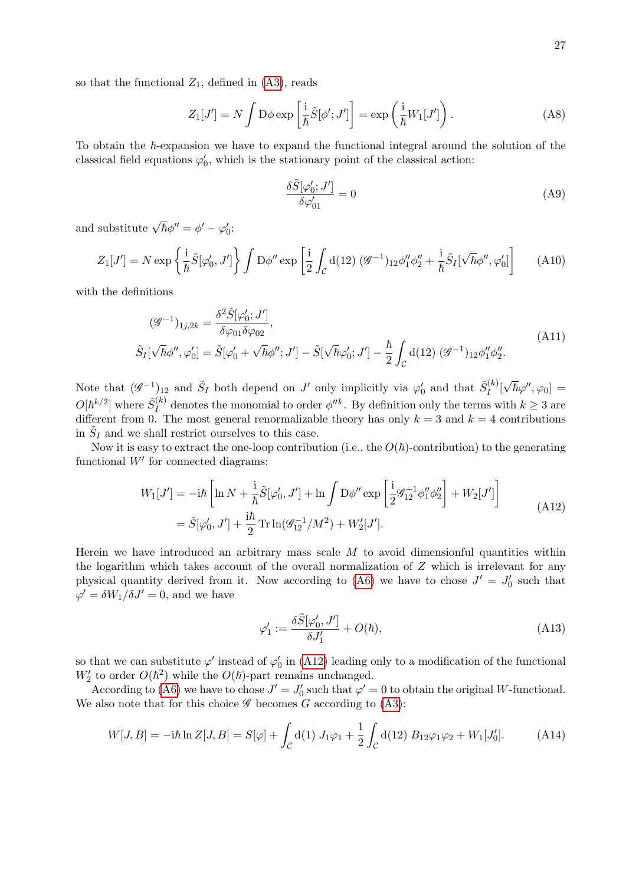so that the functional  $Z_1$ , defined in  $(A3)$ , reads

$$
Z_1[J'] = N \int \mathcal{D}\phi \exp\left[\frac{i}{\hbar}\tilde{S}[\phi';J']\right] = \exp\left(\frac{i}{\hbar}W_1[J']\right). \tag{A8}
$$

To obtain the  $\hbar$ -expansion we have to expand the functional integral around the solution of the classical field equations  $\varphi'_0$ , which is the stationary point of the classical action:

<span id="page-26-0"></span>
$$
\frac{\delta \tilde{S}[\varphi_0'; J']}{\delta \varphi_{01}'} = 0 \tag{A9}
$$

and substitute  $\sqrt{\hbar}\phi'' = \phi' - \varphi'_0$ :

$$
Z_1[J'] = N \exp\left\{\frac{\mathrm{i}}{\hbar}\tilde{S}[\varphi_0', J']\right\} \int \mathcal{D}\phi'' \exp\left[\frac{\mathrm{i}}{2} \int_C \mathrm{d}(12) \, (\mathscr{G}^{-1})_{12} \phi_1'' \phi_2'' + \frac{\mathrm{i}}{\hbar} \tilde{S}_I[\sqrt{\hbar} \phi'', \varphi_0']\right] \tag{A10}
$$

with the definitions

$$
(\mathcal{G}^{-1})_{1j,2k} = \frac{\delta^2 \tilde{S}[\varphi_0'; J']}{\delta \varphi_{01} \delta \varphi_{02}},
$$
  
\n
$$
\tilde{S}_I[\sqrt{\hbar} \phi'', \varphi_0'] = \tilde{S}[\varphi_0' + \sqrt{\hbar} \phi''; J'] - \tilde{S}[\sqrt{\hbar} \varphi_0'; J'] - \frac{\hbar}{2} \int_C d(12) (\mathcal{G}^{-1})_{12} \phi_1'' \phi_2''.
$$
\n(A11)

Note that  $(\mathscr{G}^{-1})_{12}$  and  $\tilde{S}_I$  both depend on J' only implicitly via  $\varphi'_0$  and that  $\tilde{S}_I^{(k)}$  $\int\limits_{I}^{\left( \kappa\right) }\left[ 1_{0}\right] ^{\left( \kappa\right) }$  $[\sqrt{\hbar}\varphi'',\varphi_0]\,=\,$  $O[\hbar^{k/2}]$  where  $\tilde{S}^{(k)}_I$  $\mu_I^{(k)}$  denotes the monomial to order  $\phi''^k$ . By definition only the terms with  $k \geq 3$  are different from 0. The most general renormalizable theory has only  $k = 3$  and  $k = 4$  contributions in  $\tilde{S}_I$  and we shall restrict ourselves to this case.

Now it is easy to extract the one-loop contribution (i.e., the  $O(\hbar)$ -contribution) to the generating functional  $W'$  for connected diagrams:

<span id="page-26-1"></span>
$$
W_1[J'] = -i\hbar \left[ \ln N + \frac{i}{\hbar} \tilde{S}[\varphi'_0, J'] + \ln \int D\phi'' \exp\left[ \frac{i}{2} \mathcal{G}_{12}^{-1} \phi''_1 \phi''_2 \right] + W_2[J'] \right]
$$
  
=  $\tilde{S}[\varphi'_0, J'] + \frac{i\hbar}{2} \text{Tr} \ln(\mathcal{G}_{12}^{-1}/M^2) + W_2'[J'].$  (A12)

Herein we have introduced an arbitrary mass scale  $M$  to avoid dimensionful quantities within the logarithm which takes account of the overall normalization of  $Z$  which is irrelevant for any physical quantity derived from it. Now according to [\(A6\)](#page-25-3) we have to chose  $J' = J'_0$  such that  $\varphi' = \delta W_1 / \delta J' = 0$ , and we have

<span id="page-26-2"></span>
$$
\varphi_1' := \frac{\delta \tilde{S}[\varphi_0', J']}{\delta J_1'} + O(\hbar),\tag{A13}
$$

so that we can substitute  $\varphi'$  instead of  $\varphi'_0$  in [\(A12\)](#page-26-1) leading only to a modification of the functional  $W_2'$  to order  $O(h^2)$  while the  $O(h)$ -part remains unchanged.

According to [\(A6\)](#page-25-3) we have to chose  $J' = J'_0$  such that  $\varphi' = 0$  to obtain the original W-functional. We also note that for this choice  $\mathscr G$  becomes G according to [\(A3\)](#page-25-2):

$$
W[J, B] = -i\hbar \ln Z[J, B] = S[\varphi] + \int_{\mathcal{C}} d(1) J_1 \varphi_1 + \frac{1}{2} \int_{\mathcal{C}} d(12) B_{12} \varphi_1 \varphi_2 + W_1[J_0']. \tag{A14}
$$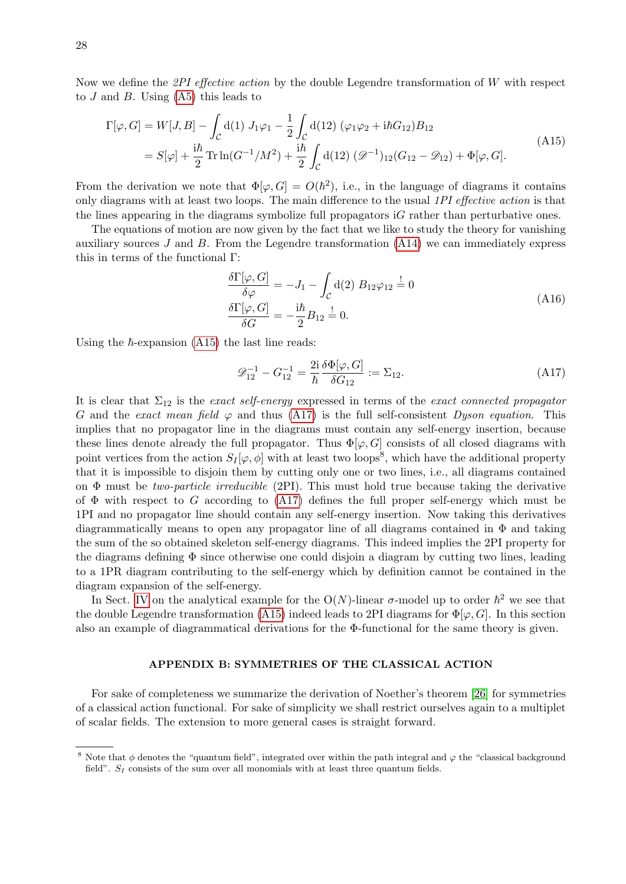Now we define the 2PI effective action by the double Legendre transformation of  $W$  with respect to  $J$  and  $B$ . Using  $(A5)$  this leads to

<span id="page-27-0"></span>
$$
\Gamma[\varphi, G] = W[J, B] - \int_{\mathcal{C}} d(1) J_1 \varphi_1 - \frac{1}{2} \int_{\mathcal{C}} d(12) (\varphi_1 \varphi_2 + i\hbar G_{12}) B_{12}
$$
\n
$$
= S[\varphi] + \frac{i\hbar}{2} \text{Tr} \ln(G^{-1}/M^2) + \frac{i\hbar}{2} \int_{\mathcal{C}} d(12) (\mathcal{D}^{-1})_{12} (G_{12} - \mathcal{D}_{12}) + \Phi[\varphi, G].
$$
\n(A15)

From the derivation we note that  $\Phi[\varphi, G] = O(\hbar^2)$ , i.e., in the language of diagrams it contains only diagrams with at least two loops. The main difference to the usual 1PI effective action is that the lines appearing in the diagrams symbolize full propagators iG rather than perturbative ones.

The equations of motion are now given by the fact that we like to study the theory for vanishing auxiliary sources  $J$  and  $B$ . From the Legendre transformation  $(A14)$  we can immediately express this in terms of the functional Γ:

<span id="page-27-2"></span>
$$
\frac{\delta\Gamma[\varphi, G]}{\delta\varphi} = -J_1 - \int_C d(2) B_{12}\varphi_{12} \stackrel{!}{=} 0
$$
\n
$$
\frac{\delta\Gamma[\varphi, G]}{\delta G} = -\frac{i\hbar}{2} B_{12} \stackrel{!}{=} 0.
$$
\n(A16)

Using the  $\hbar$ -expansion [\(A15\)](#page-27-0) the last line reads:

<span id="page-27-1"></span>
$$
\mathcal{D}_{12}^{-1} - G_{12}^{-1} = \frac{2i}{\hbar} \frac{\delta \Phi[\varphi, G]}{\delta G_{12}} := \Sigma_{12}.
$$
 (A17)

It is clear that  $\Sigma_{12}$  is the exact self-energy expressed in terms of the exact connected propagator G and the exact mean field  $\varphi$  and thus [\(A17\)](#page-27-1) is the full self-consistent Dyson equation. This implies that no propagator line in the diagrams must contain any self-energy insertion, because these lines denote already the full propagator. Thus  $\Phi[\varphi, G]$  consists of all closed diagrams with point vertices from the action  $S_I[\varphi, \phi]$  with at least two loops<sup>8</sup>, which have the additional property that it is impossible to disjoin them by cutting only one or two lines, i.e., all diagrams contained on  $\Phi$  must be two-particle irreducible (2PI). This must hold true because taking the derivative of  $\Phi$  with respect to G according to [\(A17\)](#page-27-1) defines the full proper self-energy which must be 1PI and no propagator line should contain any self-energy insertion. Now taking this derivatives diagrammatically means to open any propagator line of all diagrams contained in  $\Phi$  and taking the sum of the so obtained skeleton self-energy diagrams. This indeed implies the 2PI property for the diagrams defining  $\Phi$  since otherwise one could disjoin a diagram by cutting two lines, leading to a 1PR diagram contributing to the self-energy which by definition cannot be contained in the diagram expansion of the self-energy.

In Sect. [IV](#page-12-0) on the analytical example for the O(N)-linear  $\sigma$ -model up to order  $\hbar^2$  we see that the double Legendre transformation [\(A15\)](#page-27-0) indeed leads to 2PI diagrams for  $\Phi[\varphi, G]$ . In this section also an example of diagrammatical derivations for the Φ-functional for the same theory is given.

# APPENDIX B: SYMMETRIES OF THE CLASSICAL ACTION

For sake of completeness we summarize the derivation of Noether's theorem [\[26\]](#page-31-22) for symmetries of a classical action functional. For sake of simplicity we shall restrict ourselves again to a multiplet of scalar fields. The extension to more general cases is straight forward.

<sup>&</sup>lt;sup>8</sup> Note that  $\phi$  denotes the "quantum field", integrated over within the path integral and  $\varphi$  the "classical background" field".  $S_I$  consists of the sum over all monomials with at least three quantum fields.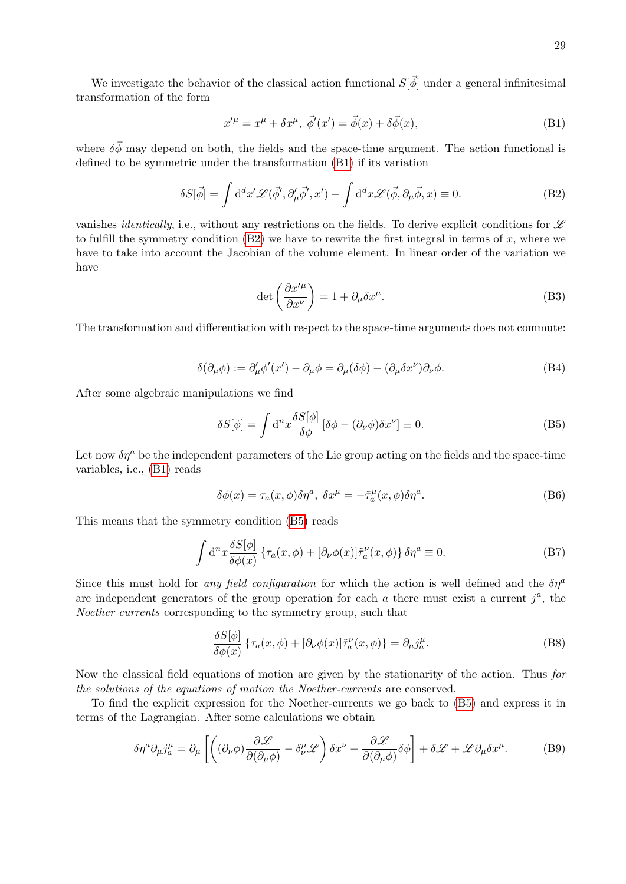We investigate the behavior of the classical action functional  $S[\vec{\phi}]$  under a general infinitesimal transformation of the form

<span id="page-28-2"></span><span id="page-28-1"></span>
$$
x^{\prime \mu} = x^{\mu} + \delta x^{\mu}, \ \vec{\phi}'(x^{\prime}) = \vec{\phi}(x) + \delta \vec{\phi}(x), \tag{B1}
$$

where  $\delta \vec{\phi}$  may depend on both, the fields and the space-time argument. The action functional is defined to be symmetric under the transformation [\(B1\)](#page-28-1) if its variation

$$
\delta S[\vec{\phi}] = \int d^d x' \mathcal{L}(\vec{\phi}', \partial'_{\mu}\vec{\phi}', x') - \int d^d x \mathcal{L}(\vec{\phi}, \partial_{\mu}\vec{\phi}, x) \equiv 0.
$$
 (B2)

vanishes *identically*, i.e., without any restrictions on the fields. To derive explicit conditions for  $\mathscr L$ to fulfill the symmetry condition  $(B2)$  we have to rewrite the first integral in terms of x, where we have to take into account the Jacobian of the volume element. In linear order of the variation we have

$$
\det\left(\frac{\partial x^{\prime \mu}}{\partial x^{\nu}}\right) = 1 + \partial_{\mu}\delta x^{\mu}.
$$
 (B3)

The transformation and differentiation with respect to the space-time arguments does not commute:

$$
\delta(\partial_{\mu}\phi) := \partial'_{\mu}\phi'(x') - \partial_{\mu}\phi = \partial_{\mu}(\delta\phi) - (\partial_{\mu}\delta x^{\nu})\partial_{\nu}\phi.
$$
 (B4)

After some algebraic manipulations we find

<span id="page-28-3"></span>
$$
\delta S[\phi] = \int d^n x \frac{\delta S[\phi]}{\delta \phi} [\delta \phi - (\partial_\nu \phi) \delta x^\nu] \equiv 0.
$$
 (B5)

Let now  $\delta\eta^a$  be the independent parameters of the Lie group acting on the fields and the space-time variables, i.e., [\(B1\)](#page-28-1) reads

$$
\delta\phi(x) = \tau_a(x,\phi)\delta\eta^a, \ \delta x^\mu = -\tilde{\tau}_a^\mu(x,\phi)\delta\eta^a. \tag{B6}
$$

This means that the symmetry condition [\(B5\)](#page-28-3) reads

$$
\int d^{n}x \frac{\delta S[\phi]}{\delta \phi(x)} \left\{ \tau_{a}(x,\phi) + [\partial_{\nu}\phi(x)]\tilde{\tau}_{a}^{\nu}(x,\phi) \right\} \delta \eta^{a} \equiv 0. \tag{B7}
$$

Since this must hold for any field configuration for which the action is well defined and the  $\delta\eta^a$ are independent generators of the group operation for each  $a$  there must exist a current  $j^a$ , the Noether currents corresponding to the symmetry group, such that

<span id="page-28-0"></span>
$$
\frac{\delta S[\phi]}{\delta \phi(x)} \left\{ \tau_a(x,\phi) + [\partial_\nu \phi(x)] \tilde{\tau}_a^\nu(x,\phi) \right\} = \partial_\mu j_a^\mu. \tag{B8}
$$

Now the classical field equations of motion are given by the stationarity of the action. Thus for the solutions of the equations of motion the Noether-currents are conserved.

To find the explicit expression for the Noether-currents we go back to [\(B5\)](#page-28-3) and express it in terms of the Lagrangian. After some calculations we obtain

$$
\delta \eta^a \partial_\mu j^\mu_a = \partial_\mu \left[ \left( (\partial_\nu \phi) \frac{\partial \mathcal{L}}{\partial (\partial_\mu \phi)} - \delta^\mu_\nu \mathcal{L} \right) \delta x^\nu - \frac{\partial \mathcal{L}}{\partial (\partial_\mu \phi)} \delta \phi \right] + \delta \mathcal{L} + \mathcal{L} \partial_\mu \delta x^\mu. \tag{B9}
$$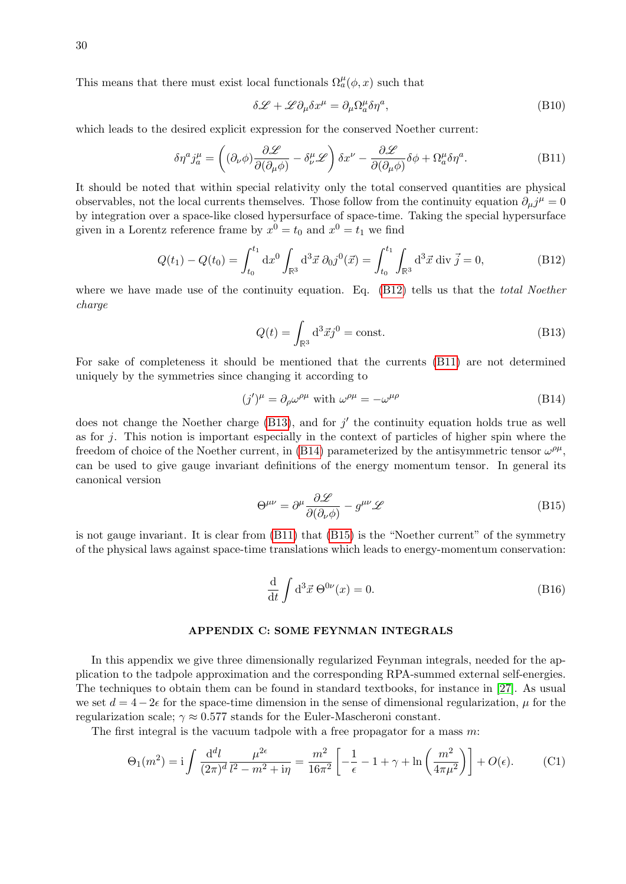This means that there must exist local functionals  $\Omega_a^{\mu}(\phi, x)$  such that

<span id="page-29-0"></span>
$$
\delta \mathcal{L} + \mathcal{L} \partial_{\mu} \delta x^{\mu} = \partial_{\mu} \Omega^{\mu}_{a} \delta \eta^{a}, \tag{B10}
$$

which leads to the desired explicit expression for the conserved Noether current:

$$
\delta \eta^a j_a^\mu = \left( (\partial_\nu \phi) \frac{\partial \mathcal{L}}{\partial (\partial_\mu \phi)} - \delta^\mu_\nu \mathcal{L} \right) \delta x^\nu - \frac{\partial \mathcal{L}}{\partial (\partial_\mu \phi)} \delta \phi + \Omega_a^\mu \delta \eta^a. \tag{B11}
$$

It should be noted that within special relativity only the total conserved quantities are physical observables, not the local currents themselves. Those follow from the continuity equation  $\partial_{\mu}j^{\mu} = 0$ by integration over a space-like closed hypersurface of space-time. Taking the special hypersurface given in a Lorentz reference frame by  $x^0 = t_0$  and  $x^0 = t_1$  we find

$$
Q(t_1) - Q(t_0) = \int_{t_0}^{t_1} dx^0 \int_{\mathbb{R}^3} d^3 \vec{x} \, \partial_0 \vec{j}^0(\vec{x}) = \int_{t_0}^{t_1} \int_{\mathbb{R}^3} d^3 \vec{x} \, \text{div } \vec{j} = 0,
$$
 (B12)

<span id="page-29-4"></span>where we have made use of the continuity equation. Eq. [\(B12\)](#page-29-3) tells us that the *total Noether* charge

<span id="page-29-5"></span><span id="page-29-3"></span>
$$
Q(t) = \int_{\mathbb{R}^3} d^3 \vec{x} j^0 = \text{const.}
$$
 (B13)

For sake of completeness it should be mentioned that the currents [\(B11\)](#page-29-0) are not determined uniquely by the symmetries since changing it according to

$$
(j')^{\mu} = \partial_{\rho} \omega^{\rho \mu} \text{ with } \omega^{\rho \mu} = -\omega^{\mu \rho} \tag{B14}
$$

does not change the Noether charge  $(B13)$ , and for  $j'$  the continuity equation holds true as well as for  $j$ . This notion is important especially in the context of particles of higher spin where the freedom of choice of the Noether current, in [\(B14\)](#page-29-5) parameterized by the antisymmetric tensor  $\omega^{\rho\mu}$ , can be used to give gauge invariant definitions of the energy momentum tensor. In general its canonical version

<span id="page-29-6"></span>
$$
\Theta^{\mu\nu} = \partial^{\mu} \frac{\partial \mathcal{L}}{\partial(\partial_{\nu} \phi)} - g^{\mu\nu} \mathcal{L}
$$
 (B15)

is not gauge invariant. It is clear from [\(B11\)](#page-29-0) that [\(B15\)](#page-29-6) is the "Noether current" of the symmetry of the physical laws against space-time translations which leads to energy-momentum conservation:

<span id="page-29-2"></span>
$$
\frac{\mathrm{d}}{\mathrm{d}t} \int \mathrm{d}^3 \vec{x} \; \Theta^{0\nu}(x) = 0. \tag{B16}
$$

#### <span id="page-29-1"></span>APPENDIX C: SOME FEYNMAN INTEGRALS

In this appendix we give three dimensionally regularized Feynman integrals, needed for the application to the tadpole approximation and the corresponding RPA-summed external self-energies. The techniques to obtain them can be found in standard textbooks, for instance in [\[27\]](#page-31-23). As usual we set  $d = 4 - 2\epsilon$  for the space-time dimension in the sense of dimensional regularization,  $\mu$  for the regularization scale;  $\gamma \approx 0.577$  stands for the Euler-Mascheroni constant.

The first integral is the vacuum tadpole with a free propagator for a mass m:

$$
\Theta_1(m^2) = i \int \frac{d^d l}{(2\pi)^d} \frac{\mu^{2\epsilon}}{l^2 - m^2 + i\eta} = \frac{m^2}{16\pi^2} \left[ -\frac{1}{\epsilon} - 1 + \gamma + \ln\left(\frac{m^2}{4\pi\mu^2}\right) \right] + O(\epsilon). \tag{C1}
$$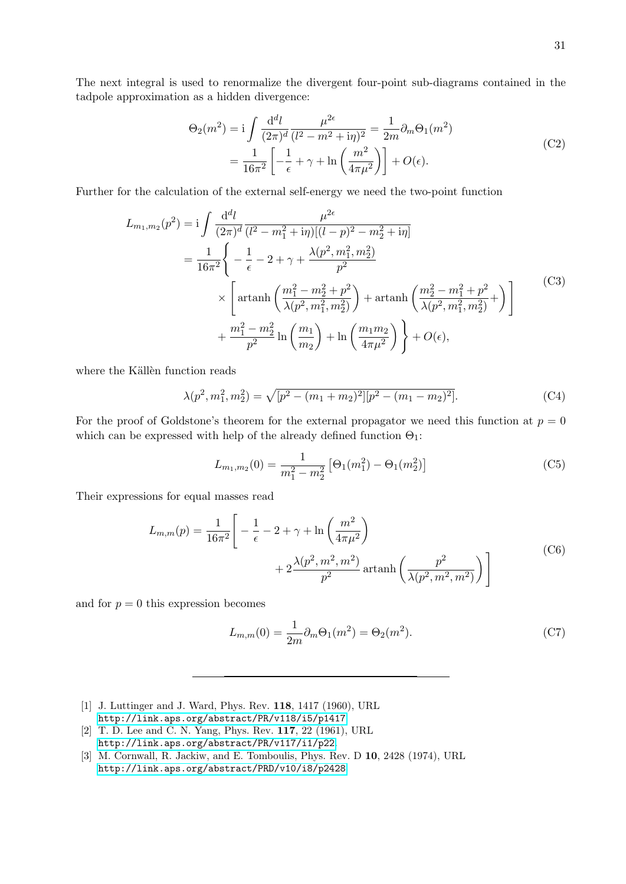The next integral is used to renormalize the divergent four-point sub-diagrams contained in the tadpole approximation as a hidden divergence:

<span id="page-30-3"></span>
$$
\Theta_2(m^2) = i \int \frac{d^d l}{(2\pi)^d} \frac{\mu^{2\epsilon}}{(l^2 - m^2 + i\eta)^2} = \frac{1}{2m} \partial_m \Theta_1(m^2)
$$
  
= 
$$
\frac{1}{16\pi^2} \left[ -\frac{1}{\epsilon} + \gamma + \ln \left( \frac{m^2}{4\pi \mu^2} \right) \right] + O(\epsilon).
$$
 (C2)

Further for the calculation of the external self-energy we need the two-point function

$$
L_{m_1,m_2}(p^2) = \mathbf{i} \int \frac{\mathrm{d}^d l}{(2\pi)^d} \frac{\mu^{2\epsilon}}{(l^2 - m_1^2 + \mathbf{i}\eta)[(l-p)^2 - m_2^2 + \mathbf{i}\eta]}
$$
  
\n
$$
= \frac{1}{16\pi^2} \Bigg\{ -\frac{1}{\epsilon} - 2 + \gamma + \frac{\lambda(p^2, m_1^2, m_2^2)}{p^2} \Bigg\}
$$
  
\n
$$
\times \Bigg[ \operatorname{artanh}\left( \frac{m_1^2 - m_2^2 + p^2}{\lambda(p^2, m_1^2, m_2^2)} \right) + \operatorname{artanh}\left( \frac{m_2^2 - m_1^2 + p^2}{\lambda(p^2, m_1^2, m_2^2)} \right) \Bigg] \qquad (C3)
$$
  
\n
$$
+ \frac{m_1^2 - m_2^2}{p^2} \ln \left( \frac{m_1}{m_2} \right) + \ln \left( \frac{m_1 m_2}{4\pi \mu^2} \right) \Bigg\} + O(\epsilon),
$$

where the Källèn function reads

$$
\lambda(p^2, m_1^2, m_2^2) = \sqrt{[p^2 - (m_1 + m_2)^2][p^2 - (m_1 - m_2)^2]}.
$$
 (C4)

For the proof of Goldstone's theorem for the external propagator we need this function at  $p = 0$ which can be expressed with help of the already defined function  $\Theta_1$ :

<span id="page-30-4"></span>
$$
L_{m_1,m_2}(0) = \frac{1}{m_1^2 - m_2^2} \left[ \Theta_1(m_1^2) - \Theta_1(m_2^2) \right]
$$
 (C5)

Their expressions for equal masses read

$$
L_{m,m}(p) = \frac{1}{16\pi^2} \left[ -\frac{1}{\epsilon} - 2 + \gamma + \ln\left(\frac{m^2}{4\pi\mu^2}\right) + 2\frac{\lambda(p^2, m^2, m^2)}{p^2} \arctan\left(\frac{p^2}{\lambda(p^2, m^2, m^2)}\right) \right]
$$
(C6)

and for  $p = 0$  this expression becomes

$$
L_{m,m}(0) = \frac{1}{2m} \partial_m \Theta_1(m^2) = \Theta_2(m^2).
$$
 (C7)

- <span id="page-30-0"></span>[1] J. Luttinger and J. Ward, Phys. Rev. 118, 1417 (1960), URL <http://link.aps.org/abstract/PR/v118/i5/p1417>.
- <span id="page-30-1"></span>[2] T. D. Lee and C. N. Yang, Phys. Rev. 117, 22 (1961), URL <http://link.aps.org/abstract/PR/v117/i1/p22>.
- <span id="page-30-2"></span>[3] M. Cornwall, R. Jackiw, and E. Tomboulis, Phys. Rev. D 10, 2428 (1974), URL <http://link.aps.org/abstract/PRD/v10/i8/p2428>.